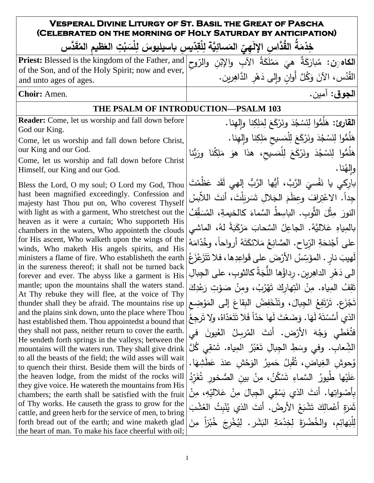#### **Vesperal Divine Liturgy of St. Basil the Great of Pascha (Celebrated on the morning of Holy Saturday by anticipation)**

خِذْمَةُ القُدَّاسِ الإِلَهِيِّ المَسائِيَّة لِلْقِدِّيسِ بِاسيليوسَ لِلْسَبْتِ العَظْيمِ المُقَدَّس<br>حَدَّةُ القُدَّاسِ أَيَّذُ يَجَدُّ العَسائِيَّة لِلْقِدِّيسِ السَّلِيوسَ الصَّلِيطِينَ الْعَظِيمِ المُقَدَّس **ْ**

**ٔ** 

الكاه ِن: مُبارَكَةٌ هيَ مَعْلَكَةُ الآبِ والإِبْنِ والرّوحِ Priest: Blessed is the kingdom of the Father, and<br>of the Son. and of the Holy Spirit: now and ever. of the Son, and of the Holy Spirit; now and ever, and unto ages of ages.

**الجوق:** آمين. .Amen **:Choir**

.<br>م

َ

### **THE PSALM OF INTRODUCTION—PSALM 103**

**Reader:** Come, let us worship and fall down before God our King.

Come, let us worship and fall down before Christ, our King and our God.

Come, let us worship and fall down before Christ Himself, our King and our God.

Bless the Lord, O my soul; O Lord my God, Thou hast been magnified exceedingly. Confession and majesty hast Thou put on, Who coverest Thyself with light as with a garment, Who stretchest out the heaven as it were a curtain; Who supporteth His chambers in the waters, Who appointeth the clouds for His ascent, Who walketh upon the wings of the winds, Who maketh His angels spirits, and His ministers a flame of fire. Who establisheth the earth in the sureness thereof; it shall not be turned back forever and ever. The abyss like a garment is His mantle; upon the mountains shall the waters stand. At Thy rebuke they will flee, at the voice of Thy thunder shall they be afraid. The mountains rise up and the plains sink down, unto the place where Thou hast established them. Thou appointedst a bound that they shall not pass, neither return to cover the earth. He sendeth forth springs in the valleys; between the mountains will the waters run. They shall give drink to all the beasts of the field; the wild asses will wait to quench their thirst. Beside them will the birds of the heaven lodge, from the midst of the rocks will they give voice. He watereth the mountains from His chambers; the earth shall be satisfied with the fruit of Thy works. He causeth the grass to grow for the cattle, and green herb for the service of men, to bring forth bread out of the earth; and wine maketh glad the heart of man. To make his face cheerful with oil;

ا**لقارئ:** هَلُمُّوا لِنَسْجُدَ وِنَرْكَعَ لِمَلِكِنا وإِلمِنا.<br>' ا<br>ا  $\zeta$ **ٔ** ْ هَلُمُّوا لِنَسْجُدَ ونَرْكَعَ لِلْمَسِيحِ مَلِكِنا وإِلمِنا. ً<br>ً ا<br>ا  $\zeta$ .<br>ا ْ هَلُمُّوا لِنَسْجُدَ ونَرْكَعَ لِلْمَسيحِ، هذا هوَ مَلِكُنا ورَبُّنا .<br>م ً<br>ً َ ا<br>ا  $\zeta$ **ٔ** ْ وإلهُنا. بَارِكِي يا نَفْسيَ الرَّبَّ، أَيُّها الرَّبُّ إِلَهي لَقَد عَظَمْتَ<br>. <u>ء</u>  $\ddot{•}$ جِداً. الاعْتِرافَ وعِظَمَ الجَلالِ تَسَرِبَلْتَ، أنتَ اللاَّبِسُ  $\overline{\phantom{a}}$ ا<br>∙ا ً<br>أ ْ

ا<br>ا ً<br>ً .<br>.

نم<br>خو

القُدُس، الآنَ وَكُلَّ أَوانٍ وإِلى دَهْرِ الدَّاهِرين.

مُ النورَ مِثْلَ الثَّوبِ. الباسِطُ السَّماءَ كالخيمةِ، المُسَقِّفُ ً<br>أ **ء**<br>• بالمِياهِ عَلاليَّهُ. الجاعِلُ السَّحابَ مَرْكَبَةً لهُ، الماشي َ َ .<br>ا ً<br>ٌ **∶** على أجْنحَةِ الزِّياح. الصَّانِعُ مَلائكَتَهُ أرواحاً، وخُدّامَهُ<br>ِ **:** ً<br>ً َ بِّسُ الأَرْضَ على قَواعِدِها، فلا تَتَزَعْزَعُ <u>آ</u> لَهيبَ نارٍ . المؤَسِّ الى دَهْرِ الداهِرين. رِداؤُها اللَّجَةُ كالثوبِ، على الجِبالِ <u>أ</u> َ َ تَقِفُ المِياه. مِنْ انْتِهارِكَ تَهْرُبُ، ومِنْ صَوْتِ رَعْدِكَ ْ <u>ٔ</u> َ .<br>تا <u>ا</u> .<br>-تَجْزَع. تَرْتَفِعُ الجِبالَ، وتَتْخَفِضُ البِقاعَ إلى المَوْضِعِ ْ ا<br>ا َ َ <u>آ</u>  $\overline{\phantom{a}}$ **ٔ** الذي أَسَّسْتَهُ لَهَا. وَضَعْتَ لَها حَدَّاً فَلا تَتَعَدَّاهُ، ولا تَرجِعُ َ <u>َ</u> َ َ ْ فتُغَطي وَجْهَ الأَرْض. أَنتَ المُرسِلُ العُيونَ في .<br>ا **ٔ** الشِّعابِ. وفي وسَطِ الجِبالِ تَعْبُرُ المِياه. تَسْقِيِ كُلَّ ْ ْ ً<br>ب حو ِش الغِ و ا. َطِشه َ ع ِش عند ح الو مير ح ِبل ق يا ِض، ت  $\epsilon$ <u>م</u> ــ<br>-َ َ ِّ<br>م عَلَيْها طُيورُ السَّماءِ تَسْكُنُ، مِنْ بينِ الصُّخورِ تُغَرِّدُ<br>م .<br>-ْ **ٔ** .<br>-بِأَصْواتِها. أنتَ الذي يَسْقِي الجِبالَ مِنْ عَلاليِّهِ، مِنْ  $\overline{\phantom{a}}$ ْ **∶** ثَمَرَةِ أَعْمالِكَ تَشْبَعُ الأَرضُ. أنتَ الذي يُنْبِتُ العُشْبَ<br>. <u>ا</u><br>ا ؘ<br>֞ ْ لِلْبَهائِمِ، والخُضْرَةَ لِخِدْمَةِ البَشَرِ لِيُخْرِجَ خُبْرْاً مِنَ <u>َ</u> **:** .<br>ا ا<br>ا  $\ddot{\phantom{a}}$ َ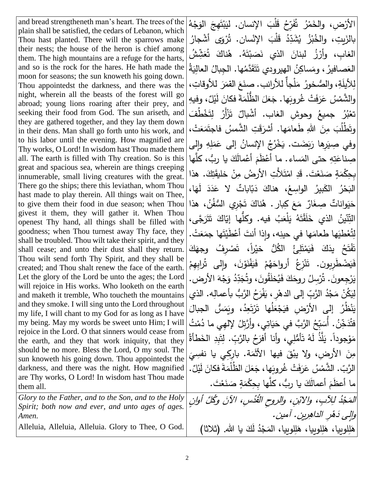and bread strengtheneth man's heart. The trees of the plain shall be satisfied, the cedars of Lebanon, which Thou hast planted. There will the sparrows make their nests; the house of the heron is chief among them. The high mountains are a refuge for the harts, and so is the rock for the hares. He hath made the moon for seasons; the sun knoweth his going down. Thou appointedst the darkness, and there was the night, wherein all the beasts of the forest will go abroad; young lions roaring after their prey, and seeking their food from God. The sun ariseth, and they are gathered together, and they lay them down in their dens. Man shall go forth unto his work, and to his labor until the evening. How magnified are Thy works, O Lord! In wisdom hast Thou made them all. The earth is filled with Thy creation. So is this great and spacious sea, wherein are things creeping innumerable, small living creatures with the great. There go the ships; there this leviathan, whom Thou hast made to play therein. All things wait on Thee, to give them their food in due season; when Thou givest it them, they will gather it. When Thou openest Thy hand, all things shall be filled with goodness; when Thou turnest away Thy face, they shall be troubled. Thou wilt take their spirit, and they shall cease; and unto their dust shall they return. Thou wilt send forth Thy Spirit, and they shall be created; and Thou shalt renew the face of the earth. Let the glory of the Lord be unto the ages; the Lord will rejoice in His works. Who looketh on the earth and maketh it tremble, Who toucheth the mountains and they smoke. I will sing unto the Lord throughout my life, I will chant to my God for as long as I have my being. May my words be sweet unto Him; I will rejoice in the Lord. O that sinners would cease from the earth, and they that work iniquity, that they should be no more. Bless the Lord, O my soul. The sun knoweth his going down. Thou appointedst the darkness, and there was the night. How magnified are Thy works, O Lord! In wisdom hast Thou made them all.

*Glory to the Father, and to the Son, and to the Holy Spirit; both now and ever, and unto ages of ages. Amen.*

Alleluia, Alleluia, Alleluia. Glory to Thee, O God.

الأَرْضِ، والخَمْرُ ۖ ثُفَرِّحُ قَلْبَ الإِنسانِ. ليَبْتَهِجَ الوَجْهُ **ٔ** َ  $\tilde{\cdot}$ <u>َ</u> ْ َـاَ **:** ْ .<br>ب دِّدُ قَلْبَ الإِنْسانِ. تُرْوَى أشْجارُ .<br>م **∶** بالزَيتِ، والخُبْزُ يُشَدِّ الغابِ، وأرْزُ لبنانَ الذي نَصَبْتَهُ. هُناكَ تُعَشِّشُ **ء** .<br>نا ْ َ <u>َ</u>ـٰ العَصـافيرُ ، ومَساكِنُ الهيرودي تَتَقَدَّمُها. الجِبالُ العالِيَةُ<br>-ا<br>ا  $\ddot{ }$ .<br>م <u>َ</u> <u>َ</u> لِلأَيلَةِ، والصُّخورُ مَلْجأٌ للأرانب. صنَعَ القمَرَ للأوقاتِ، .<br>م ا<br>ا َ ا<br>ا والشَّمْسُ عَرَفَتْ غُروبَها. جَعَلَ الظُّلْمَةَ فكانَ لَيْلٌ، وفيهِ .<br>. ا<br>ا  $\overline{\phantom{0}}$ َ ֺ֧<sup>ֺ</sup> **:** تعْبُرُ جميعُ وحوشِ الغاب. أَشْبالٌ تَزْأَرُ لِتَخْطُفَ<br>\*\*\* ْ وتَطْلُبَ مِنَ اللهِ طَعامَها. أشرَقَتِ الشَّمسُ فاجتَمَعَتْ، ا<br>ا <u>ہ</u> َ ا<br>ا وفي صِيَرِها رَبَضَت. يَخْرُجُ الإنسانُ إلى عَمَلِهِ وإلى َ <u>ء</u> صِناعَتِهِ حتى المَساء. ما أعْظَمَ أعْمالَكَ يا ربُ، كلَّها | َ ْ مُ <u>م</u> ا<br>. بِحِكْمَةٍ صَنَعْتَ. قَدِ امْتَلأَتِ الأَرضُ مِنْ خليقَتِكَ. هذا َ .<br>م ا<br>ا .<br>ا الْبَحْرُ الكَبيرُ الواسِعُ، هناكَ دَبّاباتٌ لا عَدَدَ لَهَا،<br>- $\epsilon$  $\ddot{ }$ .<br>-ء<br>. .<br>ا حَيَواناتٌ صِغَارٌ مَعَ كِبارٍ. هُناكَ تَجْرِي السُّفُنُ، هذا **ٔ** َ  $\zeta$ َ التِّتّينُ الذي خَلَقْتَهُ يَلْعَبُ فيه. وكلُّها ۖ إِيّاكَ تَتَرَجَّى،<br>. َ <u>َ</u> .<br>ا ٔ. َ لِتُعْطٰيَها طعامَها في حينِه، وإذا أنتَ أعْطَيْتَها جمَعَتْ.<br>-ا<br>ا ْ ْ تَفْتَحُ ِيدَكَ فَيَمْتَلِئُ الكُلُّ خيْراً، تَصْرِفُ وجهَكَ <u>َ</u> ْ .<br>ا .<br>م َ <u>بَ</u> ْ ْ فَيَضْطُرِبونِ. تَنْزِعُ أَرواحَهُمْ فَيَفْنَوْنَ، وإِلى تُرابِهِمْ .<br>-؛<br>' .<br>م  $\ddot{ }$ <u>ہ</u> ْ َ .<br>⊣ <u>آ</u> دِّدُ وَجْهَ الأرض. َ **:** ءِ<br>، يَرْجِعونَ . تُرْسِلُ روحَكَ فَيُخلَقُونَ، وتُجَدِّ **∶** .<br>-<u>ہ</u> َ .<br>ا .<br>أ بِّ إلى الدهْرِ ، يَفْرَحُ الزَّبُّ بأعمالِه. الذي  $\ddot{ }$ ُ<br>گ لِيَكُُنْ مَجْدُ الرَّبِّ<br>م **ٔ** يَنْظُرُ إلى الأَرْضِ فيَجْعَلُها تَرْتَعِدُ، ويَمَسُ الجبالَ<br>. َ **ٔ** .<br>ا  $\overline{\phantom{a}}$ ا<br>ا ا<br>ا .<br>ب فتُدَخِّنُ . أُسَبِّحُ الرَّبَّ في حَيَاتِي، وأَرَّتِلُ لإلهِي ما دُمْتُ<br>. <u>َ:</u> َ مَوْجوداً. يَلَّذُ لَهُ تَأْمُّلِي، وأنا أفرَحُ بالرَّبِّ. لِتَبِدِ الخَطأةُ ֡׆֧ <u>َ</u> ْ .<br>. مِنَ الأرضِ، ولا يبْقَ فيها الأَثْمَة. بارِكِي يا نفسِيَ ً<br>ً  $\overline{\phantom{0}}$ <u>م</u> الرَّبّ . الشَّمْسُ عَرَفَتْ غُروبَها ، جَعَلَ الظُلْمَةَ فكانَ لَيْلٌ .<br>-.<br>ا ا<br>ا  $\overline{\phantom{a}}$ َ ֺ֧<sup>ֺ</sup>  $\ddot{\phantom{0}}$ َ ما أعظَمَ أعمالَكَ يا ربُّ، كلَّها بِحِكْمَةٍ صَنَعْتَ. َ ا<br>ا َ اللآر رُ المَحْذُ لِلآبِ، والابْنِ، والروحِ القُدُسِ، الآنَ وكُلَّ أُوانٍ بِ، والابْنِ، والروحِ القُدُسِ، الآنَ وكُل

والي دَهْرِ الداهِرينِ. آمينِ. هَلِلوبِيا، هَلِلوبِيا، المَجْدُ لَكَ يا الله. (ثلاثا) َ **:**  $\overline{a}$ ،<br>ا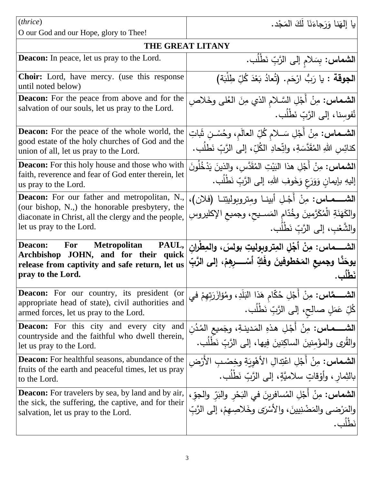| ( <i>thrice</i> )                                                                                                                                                                         | يا إلهَنا وَرَجاءَنَا لَكَ المَجْد.                                                                                                                                  |
|-------------------------------------------------------------------------------------------------------------------------------------------------------------------------------------------|----------------------------------------------------------------------------------------------------------------------------------------------------------------------|
| O our God and our Hope, glory to Thee!                                                                                                                                                    |                                                                                                                                                                      |
|                                                                                                                                                                                           | <b>THE GREAT LITANY</b>                                                                                                                                              |
| <b>Deacon:</b> In peace, let us pray to the Lord.                                                                                                                                         | الشماس: بِسَلامِ إلى الرَّبِّ نَطْلُب.                                                                                                                               |
| Choir: Lord, have mercy. (use this response<br>until noted below)                                                                                                                         | ا <b>لجوقة</b> : يا رَبُّ ارْحَم. (تُعادُ بَعْدَ كُلِّ طِلْبَة)                                                                                                      |
| <b>Deacon:</b> For the peace from above and for the<br>salvation of our souls, let us pray to the Lord.                                                                                   | الشمعاس: مِنْ أَجْلِ السَّلامِ الذي مِنَ الْعُلَى وخَلاصِ<br>ٰ نُفوسنا، إلى الرَّبِّ نَطْلُب.                                                                        |
| <b>Deacon:</b> For the peace of the whole world, the<br>good estate of the holy churches of God and the<br>union of all, let us pray to the Lord.                                         | الشـماس: مِنْ أَجْلِ سَــلام كُلِّ العالَم، وحُسْـنِ ثَباتِ<br>كنائِس اللهِ المُقَدَّسَةِ، واتِّحادِ الكُلِّ، إلى الرَّبِّ نَطلُبٍ.                                  |
| <b>Deacon:</b> For this holy house and those who with<br>faith, reverence and fear of God enter therein, let<br>us pray to the Lord.                                                      | ا <b>لشماس:</b> مِنْ أَجْلِ هذا البَيْتِ المُقَدَّس، والذينَ يَدْخُلُونَ<br>إليهِ بإيمانِ وَوَرَعِ وَخَوفِ اللهِ، إلى الرَّبِّ نَطْلُب.                              |
| <b>Deacon:</b> For our father and metropolitan, N.,<br>(our bishop, N.,) the honorable presbytery, the<br>diaconate in Christ, all the clergy and the people,<br>let us pray to the Lord. | الشـــــمـاس: مِنْ أَجْـلِ أبينــا ومتروبوليتِنـا (فلان)،<br>والكَهَنَةِ الْمُكَرَّمِينَ وخُدّامِ المَســيحِ، وجميع الإكليروسِ<br>والشَّعْبِ، إلى الزَّبِّ نَطْلُبٍ. |
| For<br>PAUL,<br>Deacon:<br><b>Metropolitan</b><br>Archbishop JOHN, and for their quick<br>release from captivity and safe return, let us<br>pray to the Lord.                             | يوحَنَّا وجميع المَخطوفينَ وفَكِّ أسْـــــرهِمْ، إلى الرَّبِّ                                                                                                        |
| <b>Deacon:</b> For our country, its president<br>(or<br>appropriate head of state), civil authorities and<br>armed forces, let us pray to the Lord.                                       | ا <b>لشـــــمَّاس:</b> مِنْ أَجْلِ حُكَّامِ هَذا النِلَدِ، ومُؤازَرَتِهِمْ في<br>كُلِّ عَمَلٍ صـالِحِ، إلى الرَّبِّ نَطْلُب.                                         |
| <b>Deacon:</b> For this city and every city and<br>countryside and the faithful who dwell therein,<br>let us pray to the Lord.                                                            | ا <b>لشـــــمـــــــــــــــــــ</b> وأجْلِ هذهِ المَـدينــةِ، وجَميع المُدُن<br> والقُرى والمؤْمنينَ الساكِنينَ فِيها، إلى الرَّبِّ نَطْلَب.                        |
| <b>Deacon:</b> For healthful seasons, abundance of the<br>fruits of the earth and peaceful times, let us pray<br>to the Lord.                                                             | ا <b>لشماس:</b> مِنْ أَجْلِ اعْتِدالِ الأَهْوِيَةِ وخِصْبِ الأَرْضِ<br>ابالثِمارِ ، وأَوْقاتٍ سلاميَّةٍ، إلى الرَّبِّ نَطْلَبٍ.                                      |
| <b>Deacon:</b> For travelers by sea, by land and by air,<br>the sick, the suffering, the captive, and for their<br>salvation, let us pray to the Lord.                                    | <b>الشماس:</b> مِنْ أَجْلِ المُسافرينَ في البَحْرِ والنَرِّ والجوِّ،<br>والمَرْضىي والمَضْنِيينَ، والأَسْرَى وخَلاصِهِمْ، إلى الرَّبِّ<br>أنَطْلُب.                  |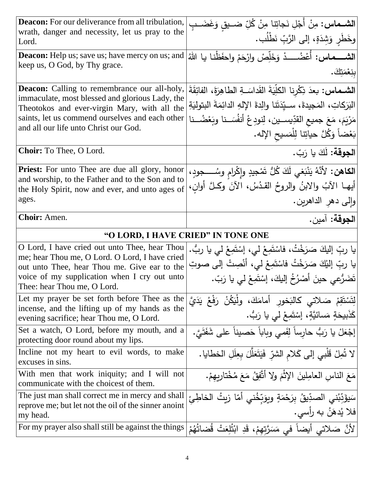| <b>Deacon:</b> For our deliverance from all tribulation,<br>wrath, danger and necessity, let us pray to the<br>Lord.                                                                                                                               | <b>الشــماس:</b> مِنْ أَجْلِ نَجاتِنا مِنْ كُلِّ ضـــيقِ وَغَضَــبِ<br> وخَطَرِ وَشِدَةٍ، إلى الرَّبِّ نَطْلُب.                                                                                                                                                   |  |
|----------------------------------------------------------------------------------------------------------------------------------------------------------------------------------------------------------------------------------------------------|-------------------------------------------------------------------------------------------------------------------------------------------------------------------------------------------------------------------------------------------------------------------|--|
| <b>Deacon:</b> Help us; save us; have mercy on us; and<br>keep us, O God, by Thy grace.                                                                                                                                                            | الشــــــمـاس: أَعْضُـــــدْ وَخَلِّصْ وارْحَمْ واحفَظْنا يا اللهُ<br>بنِعْمَتِكَ.                                                                                                                                                                                |  |
| <b>Deacon:</b> Calling to remembrance our all-holy,<br>immaculate, most blessed and glorious Lady, the<br>Theotokos and ever-virgin Mary, with all the<br>saints, let us commend ourselves and each other<br>and all our life unto Christ our God. | الشماس: بعدَ ذِكْرِنا الكلِّيَةَ القَداسَةِ الطَاهِرَةَ، الفائِقَةَ<br>البَرَكاتِ، المَجيدةَ، سـيّدَتَنا والِدةَ الإِلهِ الدائِمَةَ البتوليَةِ<br>مَرْيَمَ، مَعَ جميع القدِّيســين، لِنودِعْ أَنفُسَــنا وبَعْضُــنا<br>بَعْضاً وَكُلَّ حياتِنا لِلْمَسيح الإِله. |  |
| <b>Choir:</b> To Thee, O Lord.                                                                                                                                                                                                                     | الجوقة: لَكَ يا رَبّ.                                                                                                                                                                                                                                             |  |
| <b>Priest:</b> For unto Thee are due all glory, honor<br>and worship, to the Father and to the Son and to<br>the Holy Spirit, now and ever, and unto ages of<br>ages.                                                                              | ا <b>لكاهن:</b> لأنَّهُ يَنْبَغي لَكَ كُلُّ تَمْجيدٍ وإِكْرامٍ وسُــــجودٍ،<br>أيهما الآبُ والابنُ والروحُ القدُسُ، الآنَ وكلَّ أوانِ،<br>وإلى دهر الداهرين.                                                                                                      |  |
| Choir: Amen.                                                                                                                                                                                                                                       | الجوقة: آمين.                                                                                                                                                                                                                                                     |  |
| "O LORD, I HAVE CRIED" IN TONE ONE                                                                                                                                                                                                                 |                                                                                                                                                                                                                                                                   |  |
|                                                                                                                                                                                                                                                    |                                                                                                                                                                                                                                                                   |  |
| O Lord, I have cried out unto Thee, hear Thou<br>me; hear Thou me, O Lord. O Lord, I have cried<br>out unto Thee, hear Thou me. Give ear to the<br>voice of my supplication when I cry out unto<br>Thee: hear Thou me, O Lord.                     | يا ربِّ إليكَ صَرَخْتُ، فاسْتَمِعْ لي، إسْتَمِعْ لي يا ربُّ.<br>يا ربِّ إليْكَ صَرَخْتُ فاسْتَمِعْ لي، أنْصِتْ إلى صوتِ<br>نَضَرُّعِي حينَ أَصْرُخُ إِلَيكَ، إِسْتَمِعْ لَي يا رَبِّ.                                                                             |  |
| Let my prayer be set forth before Thee as the<br>incense, and the lifting up of my hands as the<br>evening sacrifice; hear Thou me, O Lord.                                                                                                        | لِتَسْتَقِمْ صَلاتي كالبَخورِ أمامَكَ، ولْيَكُنْ رَفْعُ يَدَيَّ<br> كَذَبِيحَةٍ مَسائيَّةٍ، إِسْتَمِعْ لي يا رَبُّ.                                                                                                                                               |  |
| Set a watch, O Lord, before my mouth, and a<br>protecting door round about my lips.                                                                                                                                                                | إجْعَلْ يا رَبُّ حارساً لِفَمى وباباً حَصيناً على شَفَتَيَّ.                                                                                                                                                                                                      |  |
| Incline not my heart to evil words, to make<br>excuses in sins.                                                                                                                                                                                    | لا تُمِلْ قَلْبي إلى كَلام الشرّ فَيَتَعَلَّلَ بِعِلَلِ الخطايا.                                                                                                                                                                                                  |  |
| With men that work iniquity; and I will not<br>communicate with the choicest of them.                                                                                                                                                              | مَعَ الناس العامِلينَ الإِثْمَ ولا أتَّفِقُ مَعَ مُخْتارِبِهِمْ.                                                                                                                                                                                                  |  |
| The just man shall correct me in mercy and shall<br>reprove me; but let not the oil of the sinner anoint<br>my head.                                                                                                                               | سَيؤَدِّبُني الصدِّيقُ بِرَحْمَةٍ ويوَبِّخُني أمّا زيتُ الخاطِئ<br>فلا يُدهَنُ به رأِسي.                                                                                                                                                                          |  |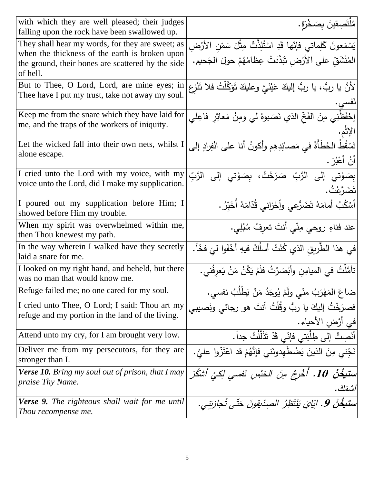| with which they are well pleased; their judges<br>falling upon the rock have been swallowed up.                 | مُلْتَصِقِينَ بِصَخْرَةٍ.                                                                                                            |
|-----------------------------------------------------------------------------------------------------------------|--------------------------------------------------------------------------------------------------------------------------------------|
| They shall hear my words, for they are sweet; as                                                                |                                                                                                                                      |
| when the thickness of the earth is broken upon<br>the ground, their bones are scattered by the side<br>of hell. | يَسْمَعونَ كَلِماتي فإنّها قَدِ اسْتُلِذَّتْ مِثْلَ سَمْنِ الأَرْضِ<br>المُنْشَقِّ على الأَرْضِ تَبَدَّدَتْ عِظامُهُمْ حولَ الجَحيم. |
| But to Thee, O Lord, Lord, are mine eyes; in<br>Thee have I put my trust, take not away my soul.                | لأنَّ يا ربُّ، يا ربُّ إليكَ عَيْنَيَّ وعليكَ تَوَكَّلْتُ فلا تَنْزِع                                                                |
| Keep me from the snare which they have laid for<br>me, and the traps of the workers of iniquity.                | إِحْفَظَنِي مِنَ الفَخِّ الذي نَصَبوهُ لي ومِنْ مَعاثِرِ فاعِلي                                                                      |
| Let the wicked fall into their own nets, whilst I<br>alone escape.                                              | تَسْقُطُ الخَطَأَةُ في مَصائِدِهِم وأكونُ أنا على انْفِرادِ إلى<br> أَنْ أَعْبُرَ .                                                  |
| I cried unto the Lord with my voice, with my                                                                    |                                                                                                                                      |
| voice unto the Lord, did I make my supplication.                                                                | بِصَوْتِي إِلى الرَّبِّ صَرَخْتُ، بِصَوْتِي إِلى<br>الرَّبِّ<br>اتَضَرَّعْتُ.                                                        |
| I poured out my supplication before Him; I<br>showed before Him my trouble.                                     | أَسْكُبُ أَمامَهُ تَضَرُّعي وأَحْزاني قُدّامَهُ أَخَبِّرُ .                                                                          |
| When my spirit was overwhelmed within me,<br>then Thou knewest my path.                                         | عند فناءِ روحي مِنّي أنتَ تعرِفُ سُبُلِي.                                                                                            |
| In the way wherein I walked have they secretly<br>laid a snare for me.                                          | في هذا الطَّريقِ الذي كُنْتُ أسلَكُ فيهِ أَخْفَوا ليَ فخَّاً.                                                                        |
| I looked on my right hand, and beheld, but there<br>was no man that would know me.                              | تأمَّلْتُ في الميامِنِ وأَبْصَرْتُ فلَمْ يَكُنْ مَنْ يَعرِفُني.                                                                      |
| Refuge failed me; no one cared for my soul.                                                                     | ضاعَ المَهْرَبُ منّي ولَمْ يُوجَدُ مَنْ يَطْلُبُ نفسي.                                                                               |
| I cried unto Thee, O Lord; I said: Thou art my<br>refuge and my portion in the land of the living.              | فصرَخْتُ إليكَ يا ربُّ وقُلْتُ أنتَ هو رجائي ونَصيبي<br> في أرْض الأحياء.                                                            |
| Attend unto my cry, for I am brought very low.                                                                  | أَنْصِتْ إلى طِلْبَتي فإنّي قَدْ تَذَلَّلْتُ جداً.                                                                                   |
| Deliver me from my persecutors, for they are<br>stronger than I.                                                | نَجِّني مِنَ الذينَ يَضْطْهِدونَني فإنَّهُمْ قد اعْتَزُّوا عليَّ.                                                                    |
| <b>Verse 10.</b> Bring my soul out of prison, that I may<br><i>praise Thy Name.</i>                             | س <b>تيخُنُ 10.</b> أَخْرجُ مِنَ الْحَنْسِ نَفسي لَكِيُّ أَشْكُرَ<br>اسْمَكَ .                                                       |
| <b>Verse 9.</b> The righteous shall wait for me until<br>Thou recompense me.                                    | ستيغُنْ 9. إِيَايَ يَنْتَظِرُ الصِدّيقونَ حَتّى تُجازِيَنِي.                                                                         |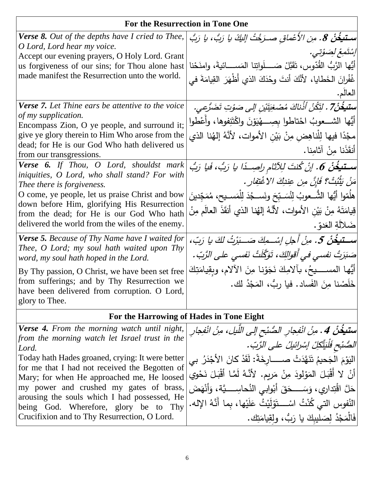| For the Resurrection in Tone One                                                                                                                                                                                                                                                                                                                                                                                                                                                                                                                                                                      |                                                                                                                                                                                                                                                                                                                                                                                                                                                                                                                                                                       |  |
|-------------------------------------------------------------------------------------------------------------------------------------------------------------------------------------------------------------------------------------------------------------------------------------------------------------------------------------------------------------------------------------------------------------------------------------------------------------------------------------------------------------------------------------------------------------------------------------------------------|-----------------------------------------------------------------------------------------------------------------------------------------------------------------------------------------------------------------------------------------------------------------------------------------------------------------------------------------------------------------------------------------------------------------------------------------------------------------------------------------------------------------------------------------------------------------------|--|
| <b>Verse 8.</b> Out of the depths have I cried to Thee,<br>O Lord, Lord hear my voice.<br>Accept our evening prayers, O Holy Lord. Grant<br>us forgiveness of our sins; for Thou alone hast<br>made manifest the Resurrection unto the world.                                                                                                                                                                                                                                                                                                                                                         | ستيغُنْ 8. مِن الأَعْماق صـرَخْتُ إليكَ يا رَبُ، يا رَبُ<br>إشتَمِعْ لِصَوْتِي.<br>أَيُّها الرَّبُّ القُدّوسِ، تَقَبَّلْ صَــــلَواتِنا المَســــائيةَ، وامنَحْنا<br>غُفْرانَ الخَطايا، لأَنَّكَ أنتَ وحْدَكَ الذي أَظْهَرَ القِيامَةَ في                                                                                                                                                                                                                                                                                                                             |  |
| <b>Verse 7.</b> Let Thine ears be attentive to the voice<br>of my supplication.<br>Encompass Zion, O ye people, and surround it;<br>give ye glory therein to Him Who arose from the<br>dead; for He is our God Who hath delivered us<br>from our transgressions.<br><b>Verse 6.</b> If Thou, O Lord, shouldst mark<br>iniquities, O Lord, who shall stand? For with<br>Thee there is forgiveness.<br>O come, ye people, let us praise Christ and bow<br>down before Him, glorifying His Resurrection<br>from the dead; for He is our God Who hath<br>delivered the world from the wiles of the enemy. | العالم.<br>ستيخُنْ7 . لِتَكُنْ أَذْناكَ مُصْغِيَتَيْنِ إِلَى صَوْتِ تَضَرَّعِي.<br>أَيُّها الشـــعوبُ احْتاطوا بِصِــــهْيَوْنَ واكْتَنِفوها، وأعْطوا<br> مجْدًا فيها لِلْناهِضِ مِنْ بَيْنِ الأمواتِ، لأنَّهُ إلهُنا الذي<br>أَنقَذَنا مِنْ آثامِنا.<br>سـتيغُنْ 6. إنْ كُنتَ لِلِآثامِ راصِـدًا يا رَبُّ، فَيا رَبُّ<br>مَنْ بَثْبُتْ؟ فَإِنَّ مِن عِندِكَ الاغْتِفارِ .<br> هلُمّوا أَيُّها الشُّــعوبُ لِنُسَــبّحَ ونَســـجُدَ لِلْمَســيح، مُمَجّدينَ<br> قِيامَتَهُ مِنْ بَيْنِ الأَمواتِ، لأَنَّهُ إِلهُنا الذي أَنقَذَ العالَمِ مِنْ<br>ضَلاَلَةِ العَدوِّ . |  |
| <b>Verse 5.</b> Because of Thy Name have I waited for<br>Thee, O Lord; my soul hath waited upon Thy<br>word, my soul hath hoped in the Lord.<br>By Thy passion, O Christ, we have been set free<br>from sufferings; and by Thy Resurrection we<br>have been delivered from corruption. O Lord,<br>glory to Thee.                                                                                                                                                                                                                                                                                      | ســـتيخُنْ كي. مِنْ أَجلِ إِسْـــمِكَ صَـــبَرْتُ لِكَ يا رَبّ،<br>صَنَزَتْ نفسي في أَقوالِكَ، تَوَكَّلَتْ نَفسي على الزَّبّ.<br> أَيُّها المســـــيحُ، بألامِكَ نَجَوْنا مِنَ الآلام، وبِقِيامَتِكَ<br>خَلَصْنا مِنَ الفَساد. فيا رِبٌ، المَجْدُ لك.                                                                                                                                                                                                                                                                                                                 |  |
| For the Harrowing of Hades in Tone Eight                                                                                                                                                                                                                                                                                                                                                                                                                                                                                                                                                              |                                                                                                                                                                                                                                                                                                                                                                                                                                                                                                                                                                       |  |
| Verse 4. From the morning watch until night,<br>from the morning watch let Israel trust in the<br>Lord.<br>Today hath Hades groaned, crying: It were better<br>for me that I had not received the Begotten of<br>Mary; for when He approached me, He loosed<br>my power and crushed my gates of brass,<br>arousing the souls which I had possessed, He<br>being God. Wherefore, glory be to Thy<br>Crucifixion and to Thy Resurrection, O Lord.                                                                                                                                                       | س <b>تيخُنُ 4 .</b> مِنْ انْفِجارِ الصُنْحِ إلى اللّيلِ، مِنْ انْفِجارِ<br>الصُّنْحِ فَلْيَتَّكِلْ إِسْرائيلُ على الزَّبِّ.<br>ِ الْيَوْمَ الْجَحيمُ تَنَهَّدَتْ صــــــارِخَةً: لَقَدْ كانَ الأَجْدَرُ بي<br> أنْ لا أَقْبَـلَ المَوْلودَ مِنْ مَريم. لأَنَّـهُ لَمَّـا أَقْبَـلَ نَحْوي<br>حَلَّ اقْتِداري، وَسَــــحَقَ أَبْوابـي النُحاسِــــيَّة، وَأَنْهَضَ<br>النُفوس التي كُنْتُ اسْـــتَوْلَيْتُ عَلَيْها، بِما أَنَّهُ اﻹله.<br>فَالْمَجْدُ لِصَليبِكَ يا رَبُّ، ولقِيامَتِك.                                                                               |  |
|                                                                                                                                                                                                                                                                                                                                                                                                                                                                                                                                                                                                       |                                                                                                                                                                                                                                                                                                                                                                                                                                                                                                                                                                       |  |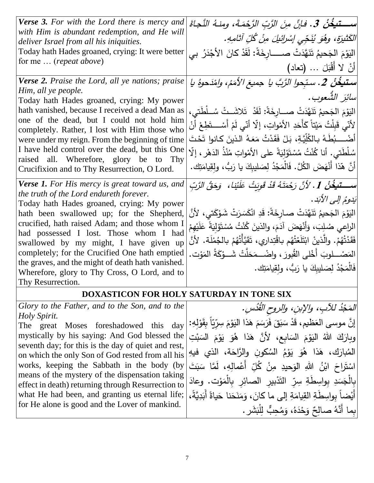| <b>Verse 3.</b> For with the Lord there is mercy and<br>with Him is abundant redemption, and He will<br>deliver Israel from all his iniquities.<br>Today hath Hades groaned, crying: It were better<br>for me  ( <i>repeat above</i> )<br>Verse 2. Praise the Lord, all ye nations; praise<br>Him, all ye people.<br>Today hath Hades groaned, crying: My power<br>hath vanished, because I received a dead Man as<br>one of the dead, but I could not hold him<br>completely. Rather, I lost with Him those who<br>were under my reign. From the beginning of time<br>I have held control over the dead, but this One | ســـــتيخُنْ 3. فـانَّ منَ الرَّبِّ الرَّحْمَـةَ، ومنـهُ النَّجاةَ<br>الكَثْنِيَرَة، وهُوَ يُنَجِّى إِسْرائِيلَ مِنْ كُلِّ آثامِهِ.<br>النَوْمَ الجَحيمُ تَنَهَّدَتْ صـــــارِخَةً: لَقَدْ كانَ الأَجْدَرُ بي<br>أَنْ لا أَقْبَلَ … (تعاد)<br>ستيغُنْ 2. سبّحوا الرَّبَّ يا جميعَ الأمَمْ، وامْدَحوهُ يا<br>سائرَ الشَّعوبِ.<br>الْيَوْمَ الْجَحِيمُ تَنَهَّدَتْ صـــارِخَةً: لَقَدْ ۖ تَلاشَــتْ سُــلْطَتى،<br>لأَنِّي قَبِلْتُ مَيْتاً كَأَحَدِ الأَمْواتِ، إلَّا أَنِّي لَمْ أَسْـــتَطِعْ أَنْ<br>أضْــــ بُطَـهُ بـالكُلِّيَّةِ، بَـلْ فَقَدْتُ مَعَـهُ الـذينَ كـانوا تَحْتَ<br>سُلْطَتي. أنا كُنْتُ مُسْتَوْلِيَةً على الأَمْواتِ مُنْذُ الدَهْرِ ، إِلَّا |
|------------------------------------------------------------------------------------------------------------------------------------------------------------------------------------------------------------------------------------------------------------------------------------------------------------------------------------------------------------------------------------------------------------------------------------------------------------------------------------------------------------------------------------------------------------------------------------------------------------------------|--------------------------------------------------------------------------------------------------------------------------------------------------------------------------------------------------------------------------------------------------------------------------------------------------------------------------------------------------------------------------------------------------------------------------------------------------------------------------------------------------------------------------------------------------------------------------------------------------------------------------------------------------------------------|
| raised all. Wherefore, glory be to Thy<br>Crucifixion and to Thy Resurrection, O Lord.                                                                                                                                                                                                                                                                                                                                                                                                                                                                                                                                 | إِنَّ هَذا أَنْهَضَ الكُلَّ. فَالْمَجْدُ لِصَليبِكَ يا رَبُّ، ولِقِيامَتِك.                                                                                                                                                                                                                                                                                                                                                                                                                                                                                                                                                                                        |
| <b>Verse 1.</b> For His mercy is great toward us, and<br>the truth of the Lord endureth forever.<br>Today hath Hades groaned, crying: My power<br>hath been swallowed up; for the Shepherd,<br>crucified, hath raised Adam; and those whom I<br>had possessed I lost. Those whom I had<br>swallowed by my might, I have given up<br>completely; for the Crucified One hath emptied<br>the graves, and the might of death hath vanished.<br>Wherefore, glory to Thy Cross, O Lord, and to<br>Thy Resurrection.                                                                                                          | سَــــتَيخُنْ 1. لأَنَّ رَجْمَتَهُ قَدْ قَوِنَتْ عَلَيْنَا، ۖ وَجَقَّ الرَّبِّ<br>يَدُومُ إِلَى الأَبَدِ .<br>الْيَوْمَ الْجَحِيمُ تَنَهَّدَتْ صـارِخَةً: قَدِ انْكَسَرَتْ شَوْكَتَى، لأَنَّ<br>الراعي صُلِبَ، وَأَنْهَضَ آدَمَ، والذينَ كُنْتُ مُسْتَوْلِيَةً عَلَيْهِمْ<br>فَقَدْتُهُمْ. والَّذينْ ابْتَلَعْتُهُم باقْتِداري، تَقَيَّأْتُهُمْ بالْجُمْلَة. لأَنَّ<br>المَصْـــلوبَ أَخْلى القُبورَ ، واضْـــمَحَلَّتْ شَـــوْكَةُ المَوْت.<br>فَالْمَجْدُ لِصَليبِكَ يا رَبُّ، ولقِيامَتِك.                                                                                                                                                                      |
|                                                                                                                                                                                                                                                                                                                                                                                                                                                                                                                                                                                                                        | <b>DOXASTICON FOR HOLY SATURDAY IN TONE SIX</b>                                                                                                                                                                                                                                                                                                                                                                                                                                                                                                                                                                                                                    |
| Glory to the Father, and to the Son, and to the<br>Holy Spirit.<br>The great Moses foreshadowed this<br>day<br>mystically by his saying: And God blessed the<br>seventh day; for this is the day of quiet and rest,<br>on which the only Son of God rested from all his<br>works, keeping the Sabbath in the body (by<br>means of the mystery of the dispensation taking<br>effect in death) returning through Resurrection to                                                                                                                                                                                         | المَجْدُ للآبِ، والإبنِ، والروح القُدُسِ.<br>إِنَّ موسى العَظيم، قَدْ سَبَقَ فَرَسَمَ هَذا الْيَوْمَ سِرِّيّاً بِقَوْلِهِ:<br>وبِارَكَ اللهُ اليَوْمَ السَابِعِ، لأَنَّ هَذَا هُوَ يَوْمَ<br>المُبارَك، هَذا هُوَ يَوْمُ السُكون والرَّاحَة،<br>فيهِ<br>الذي<br>اسْتَراحَ ابْنُ اللهِ الوَحيدِ مِنْ كُلِّ أَعْمالِهِ، لَمَّا سَبَتَ<br>بواسِطةِ سِرِّ التَّذْبيرِ الصائِرِ بالمَوْتِ. وعادَ                                                                                                                                                                                                                                                                        |
| what He had been, and granting us eternal life;<br>for He alone is good and the Lover of mankind.                                                                                                                                                                                                                                                                                                                                                                                                                                                                                                                      | بِواسِطةِ القِيامَةِ إِلَى ما كانَ، وَمَنَحَنا حَياةً أَبَدِيَّةً،                                                                                                                                                                                                                                                                                                                                                                                                                                                                                                                                                                                                 |

7

بِما أَنَّهُ صالِحٌ وَحْدَهُ، وَمُحِبٌّ لِلْبَشَر .<br>-َ

: ا

<u>َ</u>ـٰ َ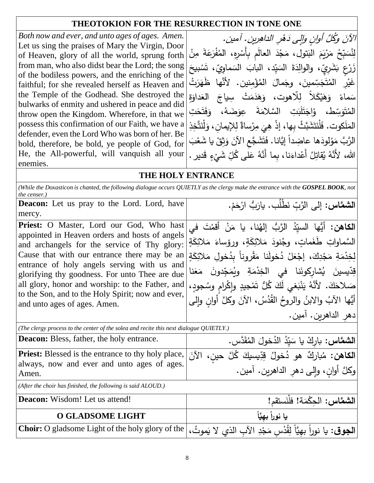### **THEOTOKION FOR THE RESURRECTION IN TONE ONE**

*Both now and ever, and unto ages of ages. Amen.* Let us sing the praises of Mary the Virgin, Door of Heaven, glory of all the world, sprung forth from man, who also didst bear the Lord; the song of the bodiless powers, and the enriching of the faithful; for she revealed herself as Heaven and the Temple of the Godhead. She destroyed the bulwarks of enmity and ushered in peace and did throw open the Kingdom. Wherefore, in that we possess this confirmation of our Faith, we have a defender, even the Lord Who was born of her. Be bold, therefore, be bold, ye people of God, for He, the All-powerful, will vanquish all your enemies.

الآنَ وكُلَّ أُوانٍ وإلى دَهْرِ الداهِرينِ. آمين. ْ لِنُسَبِّحْ مَرْيَمَ البَتول، مَجْدَ العالَمِ بِأَسْرِهِ، المُفْرَعَةَ مِنْ |<br>ي **ٔ** َ :<br>ا **ٔ** ً<br>ً ْ <u>ء</u> <u>:</u> زَرْعٍ بَشَرِيٍّ، والوالِدَةَ السَيِّد، البابَ السَماوِيِّ، تَسْبيحَ .<br>أ <u>أ</u> .<br>-ً<br>ب **∶** َ  $\tilde{\phantom{0}}$ ْ غَيْرِ المُتَجَسِّمينَ، وجَمالَ المُؤْمِنين. لأنَّها ظَهَرَتْ | **ٔ** .<br>- $\overline{\phantom{a}}$  $\ddot{\phantom{0}}$  $\epsilon$ سَماءً وَهَيْكَلاً لِلَّاهوت، وَهَدَمَتْ سِياجَ العَداوَةِ|<br>سيد العَداوَةِ| ا<br>ا ا<br>أ َ ੍ َ **ء** تَوَسِّط،<br>ِ ٔ ِت الم َب ل ت اج َة و ال َّسالم ، َ َضه ِعو ِت َح ت ف و .<br>ا <u>َ</u>  $\ddot{\phantom{0}}$ ْ ا<br>ا ــ<br>-<br>-َ َ المَلَكوت. فَلْنَتَشَبَّتْ بِهِا، إذْ هِيَ مِرْساةٌ لِلإيمانِ، وَلْنَتَّخِذِ | .<br>∙ َ َ الرَّبَّ مَوْلودَها عاضِداً إيَّانا. فَتَشَجَّعِ الآنَ وَثِقْ يا شَعْبَ |<br>ا <u>ٔ</u> **ٔ** َ **∶** الله، لأَنَّهُ يُقاتِلُ أَعْداءَنا، بِما أَنَّهُ عَلَى كُلِّ شَيْءٍ قَدير . **ء**<br>• **ٔ** َ **ٔ** 

## **THE HOLY ENTRANCE**

*(While the Doxasticon is chanted, the following dialogue occurs QUIETLY as the clergy make the entrance with the GOSPEL BOOK, not the censer.)*

> ْ َ

َ

**Deacon:** Let us pray to the Lord. Lord, have mercy.

**Priest:** O Master, Lord our God, Who hast appointed in Heaven orders and hosts of angels and archangels for the service of Thy glory: Cause that with our entrance there may be an entrance of holy angels serving with us and glorifying thy goodness. For unto Thee are due all glory, honor and worship: to the Father, and to the Son, and to the Holy Spirit; now and ever, and unto ages of ages. Amen.

**الكاهن:** أَيُّها السيِّدُ الرَّبُّ إلهُنا، يا مَنْ أقمْتَ في ً<br>ٌ السَّماواتِ طَعَماتٍ، وجُنودَ مَلائِكَةٍ، ورؤساءَ مَلائِكَةٍ<br>م ا<br>ا َ لِخِدْمَةِ مَجْدِكَ، إِجْعَلْ دُخولَنا مَقْروناً بِدُخولِ مَلائِكَةٍ .<br>-<br>-**ٔ :** ֡֡<u>֡</u> َ َ ا<br>ا قِدّيسينَ يُشارِكونَنا في الخِدْمَةِ ويُمَجِّدونَ مَعَنا| َ َ ا<br>ا َ َ صَلاحَكَ. لأَنَّهُ يَنْبَغي لَكَ كُلُّ تَمْجِيدٍ وإِكْرامٍ وسُجودٍ،<br>. ا<br>ا <u>بّ</u> َ ֡<u>֚</u>ׇׇ֖֖֚֚֡ .<br>با أَيُّها الآبُ والابنُ والروحُ الْقُدُسُ، الآنَ وكُلَّ أُوانٍ وإِلَى .<br>-دهِر الدا هرين. آمين.

**الشَّم** إلى الَّر . **اس:** م ْح ب ار ب. يار ْطل ن ِ

َ **:** 

*(The clergy process to the center of the solea and recite this next dialogue QUIETLY.)*

| <b>Deacon:</b> Bless, father, the holy entrance. | الشعَّاس: باركْ يا سَيّدُ الدُخولَ المُقَدَّس.                                                             |
|--------------------------------------------------|------------------------------------------------------------------------------------------------------------|
| always, now and ever and unto ages of ages.      | الكاهن: مُباركٌ هو دُخولُ قِدِّيسيكَ كُلَّ حين، الآنَ   Priest: Blessed is the entrance to thy holy place, |
| Amen.                                            | وكلَّ أُوانِ، وإِلَى دهرِ الداهرينِ. آمين.                                                                 |

*(After the choir has finished, the following is said ALOUD.)*

| Deacon: Wisdom! Let us attend! | الشمَّاس: الحكْمَة! فلْنَستقم!                                                                                 |
|--------------------------------|----------------------------------------------------------------------------------------------------------------|
| <b>O GLADSOME LIGHT</b>        | يا نوراً بهيَّاً                                                                                               |
|                                | الجوق: يا نوراً بهيَّأ لِقُدْس مَجْدِ الآبِ الذي لا يَموتُ، Choir: O gladsome Light of the holy glory of the ا |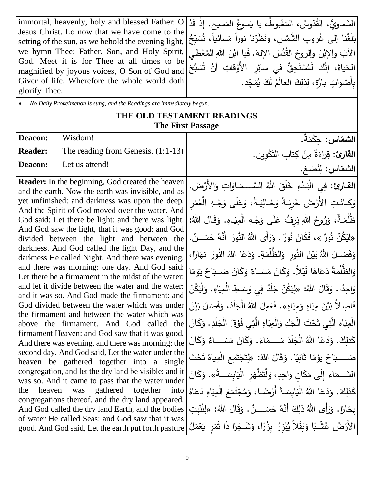immortal, heavenly, holy and blessed Father: O Jesus Christ. Lo now that we have come to the setting of the sun, as we behold the evening light, we hymn Thee: Father, Son, and Holy Spirit, God. Meet it is for Thee at all times to be magnified by joyous voices, O Son of God and Giver of life. Wherefore the whole world doth glorify Thee.

.<br>-<br>-السَّماويُّ، القَدَّوسُ، المَغْبوط، يا يَسوعُ المَسيحِ. إذ قَدْ<br>مَسْ ا<br>ا .<br>د ا<br>ا بَلَغْنا إلى غُروبِ الشَّمْسِ، ونَظَرْنا نوراً مَسائياً، نُسَبِّحُ .<br>د ً<br>أ َ .<br>ب َ ؙ الآبَ والإِبْنَ والروحَ القُدُسَ الإِلهَ. فَيا ابْنَ اللهِ المُعْطـي<br>-َ َ  $\overline{\phantom{0}}$  $\ddot{\phantom{0}}$ الحَياةَ، إنَّكَ لَمُسْتَحِقٌّ فِي سائِرِ الأَوْقاتِ أَنْ تُسَبَّحَ<br>مَّامَنِينَ الْمَسْتَحِقُّ فِي سائِرِ الأَوْقاتِ أَنْ تُسَبَّحَ ً<br>أ .<br>-؛<br>' ــّ<br>-ْ بِأَصْواتٍ بارَّةٍ، لِذلِكَ العالَمُ لَكَ يُمَجِّد. ا<br>ا .<br>أ َ

• *No Daily Prokeimenon is sung, and the Readings are immediately begun.*

#### **THE OLD TESTAMENT READINGS The First Passage**

|                |                                                                                                                                                                                                                                                                                                                                                                                                                                                                                                                                                                                                                                                                                                                                                                                                                                                                                                   | The First Passage                                                                                                                                                                                                                                                                                                                                                                                                                                                                                                                                                                                                                                                                                                                               |
|----------------|---------------------------------------------------------------------------------------------------------------------------------------------------------------------------------------------------------------------------------------------------------------------------------------------------------------------------------------------------------------------------------------------------------------------------------------------------------------------------------------------------------------------------------------------------------------------------------------------------------------------------------------------------------------------------------------------------------------------------------------------------------------------------------------------------------------------------------------------------------------------------------------------------|-------------------------------------------------------------------------------------------------------------------------------------------------------------------------------------------------------------------------------------------------------------------------------------------------------------------------------------------------------------------------------------------------------------------------------------------------------------------------------------------------------------------------------------------------------------------------------------------------------------------------------------------------------------------------------------------------------------------------------------------------|
| Deacon:        | Wisdom!                                                                                                                                                                                                                                                                                                                                                                                                                                                                                                                                                                                                                                                                                                                                                                                                                                                                                           | ال <b>شمّاس :</b> حِكْمَةٌ.                                                                                                                                                                                                                                                                                                                                                                                                                                                                                                                                                                                                                                                                                                                     |
| <b>Reader:</b> | The reading from Genesis. $(1:1-13)$                                                                                                                                                                                                                                                                                                                                                                                                                                                                                                                                                                                                                                                                                                                                                                                                                                                              | القارئ: قِراءَةٌ مِنْ كِتابِ النَّكْوِينِ.                                                                                                                                                                                                                                                                                                                                                                                                                                                                                                                                                                                                                                                                                                      |
| Deacon:        | Let us attend!                                                                                                                                                                                                                                                                                                                                                                                                                                                                                                                                                                                                                                                                                                                                                                                                                                                                                    | الشماس: لِنُصْـغ.                                                                                                                                                                                                                                                                                                                                                                                                                                                                                                                                                                                                                                                                                                                               |
|                | <b>Reader:</b> In the beginning, God created the heaven<br>and the earth. Now the earth was invisible, and as<br>yet unfinished: and darkness was upon the deep.<br>And the Spirit of God moved over the water. And<br>God said: Let there be light: and there was light.<br>And God saw the light, that it was good: and God<br>divided between the light and between the<br>darkness. And God called the light Day, and the<br>darkness He called Night. And there was evening,<br>and there was morning: one day. And God said:<br>Let there be a firmament in the midst of the water:<br>and let it divide between the water and the water:<br>and it was so. And God made the firmament: and<br>God divided between the water which was under<br>the firmament and between the water which was<br>above the firmament. And God called the<br>firmament Heaven: and God saw that it was good. | ا <b>لقـارئ:</b> فِي الْبَدْءِ خَلَقَ اللهُ السَّـــمَـاوَاتِ وَالأَرْضَ.<br>وَكَـانَـتِ الأَرْضُ خَرِبَـةً وَخَـالِيَـةً، وَعَلَى وَجْـهِ الْغَمْرِ<br>ظُلْمَـةٌ، وَرُوحُ اللهِ يَرِفُ عَلَى وَجْـهِ الْمِيَـاهِ. وَقَـالَ اللهُ:<br>«لِيَكُنْ نُورٌ »، فَكَانَ نُورٌ . وَزَأَى اللهُ النُّورَ  أَنَّهُ حَسَــنٌ .<br>وَفَصَــلَ اللّهُ بَيْنَ النُّورِ وَالظُّلْمَةِ. وَدَعَا اللّهُ النُّورَ نَهَارًا،<br>وَالظُّلْمَةُ دَعَاهَا لَيْلاً. وَكَانَ مَسَـاءٌ وَكَانَ صَــبَاحٌ يَوْمًا<br>وَاحِدًا. وَقَالَ اللَّهُ: «لِيَكُنْ جَلَدٌ فِى وَسَطِ الْمِيَاهِ. وَلْيَكُنْ<br>فَاصِلاً بَيْنَ مِيَاهٍ وَمِيَاهٍ». فَعَمِلَ اللهُ الْجَلَدَ، وَفَصَلَ بَيْنَ<br>الْمِيَاهِ الَّتِى تَحْتَ الْجَلَدِ وَالْمِيَاهِ الَّتِى فَوْقَ الْجَلَدِ. وَكَانَ |
|                | And there was evening, and there was morning: the<br>second day. And God said, Let the water under the<br>heaven be gathered together into a single<br>congregation, and let the dry land be visible: and it<br>was so. And it came to pass that the water under                                                                                                                                                                                                                                                                                                                                                                                                                                                                                                                                                                                                                                  | كَذلِكَ. وَدَعَا اللهُ الْجَلَدَ سَـــمَاءً. وَكَانَ مَسَـــاءٌ وَكَانَ<br>صَـــــبَاحٌ يَوْمًا ثَانِيًا. وَقَالَ اللّهُ: «لِتَجْتَمِعِ الْمِيَاهُ تَحْتَ<br>السَّــمَاءِ إِلَى مَكَانِ وَاحِدٍ، وَلْتَظْهَرِ الْيَابِسَــةُ». وَكَانَ                                                                                                                                                                                                                                                                                                                                                                                                                                                                                                          |
| the            | heaven was gathered together<br>into<br>congregations thereof, and the dry land appeared.<br>And God called the dry land Earth, and the bodies<br>of water He called Seas: and God saw that it was<br>good. And God said, Let the earth put forth pasture                                                                                                                                                                                                                                                                                                                                                                                                                                                                                                                                                                                                                                         | كَذلِكَ. وَدَعَا اللَّهُ الْيَابِسَةَ أَرْضَـا، وَمُجْتَمَعَ الْمِيَاهِ دَعَاهُ<br>بحَارًا. وَرَأَى اللهُ ذلِكَ أَنَّهُ حَسَــــنٌ. وَقَالَ اللهُ:  «لِتُنْبِتِ<br>الأَرْضُ عُشْبًا وَبَقْلاً يُبْزِرُ بِزْرًا، وَشَجَرًا ذَا شَرِ يَعْمَلُ                                                                                                                                                                                                                                                                                                                                                                                                                                                                                                     |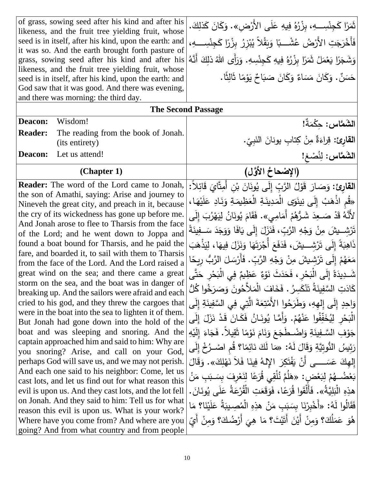of grass, sowing seed after his kind and after his likeness, and the fruit tree yielding fruit, whose seed is in itself, after his kind, upon the earth: and it was so. And the earth brought forth pasture of grass, sowing seed after his kind and after his likeness, and the fruit tree yielding fruit, whose seed is in itself, after his kind, upon the earth: and God saw that it was good. And there was evening, and there was morning: the third day.

ثَمَرًا كَجِنْسِـــهِ، بِزْرُهُ فِيهِ عَلَى الأَرْضِ». وَكَانَ كَذلِكَ. َ <u>َ</u> َ َ .<br>ا َ فَأَخْرَجَتِ الأَرْضُ عُشْــبًا وَبَقْلاً يُبْزِرُ بِزْرًا كَجِنْسِـــهِ، َ ْ ابا<br>ا َ ْ وَشَجَرًا يَعْمَلُ ثَمَرًا بِزْرُهُ فِيهِ كَجِنْسِهِ. وَرَأَى اللهُ ذلِكَ أَنَّهُ َ َ َ َ ا<br>ا ْ حَسَنٌ. وَكَانَ مَسَاءٌ وَكَانَ صَبَاحٌ يَوْمًا ثَالِثًا. ْ .<br>ا َ َ َ َ ً<br>ب ً<br>ً

|                                                  | and there was morning. the time day.                                                                                                                                                                                                                                                                                                                                                                                                                                                                                                                                                                                                                                                                                                                                                                                                                                                                                                                                                                                                                                                                                                                              |                                                                                                                                                                                                                                                                                                                                                                                                                                                                                                                                                                                                                                                                                                                                                                                                                                                                                                                                                                                                                                                                                                                                                                                                                                              |
|--------------------------------------------------|-------------------------------------------------------------------------------------------------------------------------------------------------------------------------------------------------------------------------------------------------------------------------------------------------------------------------------------------------------------------------------------------------------------------------------------------------------------------------------------------------------------------------------------------------------------------------------------------------------------------------------------------------------------------------------------------------------------------------------------------------------------------------------------------------------------------------------------------------------------------------------------------------------------------------------------------------------------------------------------------------------------------------------------------------------------------------------------------------------------------------------------------------------------------|----------------------------------------------------------------------------------------------------------------------------------------------------------------------------------------------------------------------------------------------------------------------------------------------------------------------------------------------------------------------------------------------------------------------------------------------------------------------------------------------------------------------------------------------------------------------------------------------------------------------------------------------------------------------------------------------------------------------------------------------------------------------------------------------------------------------------------------------------------------------------------------------------------------------------------------------------------------------------------------------------------------------------------------------------------------------------------------------------------------------------------------------------------------------------------------------------------------------------------------------|
|                                                  |                                                                                                                                                                                                                                                                                                                                                                                                                                                                                                                                                                                                                                                                                                                                                                                                                                                                                                                                                                                                                                                                                                                                                                   | <b>The Second Passage</b>                                                                                                                                                                                                                                                                                                                                                                                                                                                                                                                                                                                                                                                                                                                                                                                                                                                                                                                                                                                                                                                                                                                                                                                                                    |
| Deacon:                                          | Wisdom!                                                                                                                                                                                                                                                                                                                                                                                                                                                                                                                                                                                                                                                                                                                                                                                                                                                                                                                                                                                                                                                                                                                                                           | الشَمَّاس: حِكْمَةٌ!                                                                                                                                                                                                                                                                                                                                                                                                                                                                                                                                                                                                                                                                                                                                                                                                                                                                                                                                                                                                                                                                                                                                                                                                                         |
| <b>Reader:</b>                                   | The reading from the book of Jonah.<br>(its entirety)                                                                                                                                                                                                                                                                                                                                                                                                                                                                                                                                                                                                                                                                                                                                                                                                                                                                                                                                                                                                                                                                                                             | ا <b>لقارئ:</b> قِراءَةٌ مِنْ كِتابِ يونانَ النَبِيِّ.                                                                                                                                                                                                                                                                                                                                                                                                                                                                                                                                                                                                                                                                                                                                                                                                                                                                                                                                                                                                                                                                                                                                                                                       |
| Deacon:                                          | Let us attend!                                                                                                                                                                                                                                                                                                                                                                                                                                                                                                                                                                                                                                                                                                                                                                                                                                                                                                                                                                                                                                                                                                                                                    | الشَمَّاس: لِنُصْغ!                                                                                                                                                                                                                                                                                                                                                                                                                                                                                                                                                                                                                                                                                                                                                                                                                                                                                                                                                                                                                                                                                                                                                                                                                          |
| (Chapter 1)                                      |                                                                                                                                                                                                                                                                                                                                                                                                                                                                                                                                                                                                                                                                                                                                                                                                                                                                                                                                                                                                                                                                                                                                                                   | (الإصْحاحُ الأوَّل)                                                                                                                                                                                                                                                                                                                                                                                                                                                                                                                                                                                                                                                                                                                                                                                                                                                                                                                                                                                                                                                                                                                                                                                                                          |
|                                                  | Reader: The word of the Lord came to Jonah,<br>the son of Amathi, saying: Arise and journey to<br>Nineveh the great city, and preach in it, because<br>the cry of its wickedness has gone up before me.<br>And Jonah arose to flee to Tharsis from the face<br>of the Lord; and he went down to Joppa and<br>found a boat bound for Tharsis, and he paid the<br>fare, and boarded it, to sail with them to Tharsis<br>from the face of the Lord. And the Lord raised a<br>great wind on the sea; and there came a great<br>storm on the sea, and the boat was in danger of<br>breaking up. And the sailors were afraid and each<br>cried to his god, and they threw the cargoes that<br>were in the boat into the sea to lighten it of them.<br>But Jonah had gone down into the hold of the<br>boat and was sleeping and snoring. And the<br>captain approached him and said to him: Why are<br>you snoring? Arise, and call on your God,<br>perhaps God will save us, and we may not perish.<br>And each one said to his neighbor: Come, let us<br>cast lots, and let us find out for what reason this<br>evil is upon us. And they cast lots, and the lot fell | ا <b>لقارِئ:</b> وَصَارَ قَوْلُ الرَّبِّ إِلَى يُونَانَ بْنِ أَمِتَّايَ قَائِلاً:<br>«قُمِ اذْهَبْ إِلَى نِينَوَى الْمَدِينَةِ الْعَظِيمَةِ وَنَادِ عَلَيْهَا،<br>لأَنَّهُ قَدْ صَـعِدَ شَرُّهُمْ أَمَامِي». فَقَامَ يُونَانُ لِيَهْرُبَ إِلَى<br>تَرْشِـــيشَ مِنْ وَجْهِ الرَّبِّ، فَنَزَلَ إِلَى يَافَا وَوَجَدَ سَــفِينَةً<br> ذَاهِبَةً إِلَى تَرْشِــــيشَ، فَدَفَعَ أَجْرَتَهَا وَنَزَلَ فِيهَا، لِيَذْهَبَ<br>مَعَهُمْ إِلَى تَرْشِيشَ مِنْ وَجْهِ الرَّبِّ. فَأَرْسَلَ الرَّبُّ ربحًا<br>شَــدِيدَةً إِلَى الْبَحْرِ ، فَحَدَثَ نَوْءٌ عَظِيمٌ فِي الْبَحْرِ حَتَّى<br>كَادَتِ السَّفِينَةُ تَتْكَسِرُ . فَخَافَ الْمَلاَّحُونَ وَصَرَخُوا كُلُّ<br>وَاحِدٍ إِلَى إِلهِهِ، وَطَرَحُوا الأَمْتِعَةَ الَّتِي فِي السَّفِينَةِ إِلَى<br>الْبَحْرِ لِيُخَفِّفُوا عَنْهُمْ. وَأَمَّا يُونَـانُ فَكَـانَ قَدْ نَزَلَ إِلَى<br>جَوْفِ السَّـفِينَةِ وَاضْـطَجَعَ وَنَامَ نَوْمًا ثَقِيلاً. فَجَاءَ إِلَيْهِ<br>رَئِيسُ النُّوتِيَّةِ وَقَالَ لَهُ: «مَا لَكَ نَائِمًا؟ قُم اصْــرُخْ إِلَى<br>إِلهِكَ عَسَــــِي أَنْ يَفْتَكِرَ  الإِلهُ فِينَا فَلاَ نَهْلِكَ». وَقَالَ<br>بَعْضُــهُمْ لِبَعْضٍ: «هَلُمَّ نُلْقِي قُرَعًا لِنَعْرِفَ بِسَـبَبِ مَنْ<br>هذِهِ الْبَلِيَّةُ». فَأَلْقُوا قُرَعًا، فَوَقَعَتِ الْقُرْعَةُ عَلَى يُونَانَ. |
| on Jonah. And they said to him: Tell us for what |                                                                                                                                                                                                                                                                                                                                                                                                                                                                                                                                                                                                                                                                                                                                                                                                                                                                                                                                                                                                                                                                                                                                                                   | فَقَالُوا لَهُ: «أَخْبِرْنَا بِسَبَبِ مَنْ هذِهِ الْمُصِيبَةَ عَلَيْنَا؟ مَا                                                                                                                                                                                                                                                                                                                                                                                                                                                                                                                                                                                                                                                                                                                                                                                                                                                                                                                                                                                                                                                                                                                                                                 |
|                                                  | reason this evil is upon us. What is your work?<br>Where have you come from? And where are you<br>going? And from what country and from people                                                                                                                                                                                                                                                                                                                                                                                                                                                                                                                                                                                                                                                                                                                                                                                                                                                                                                                                                                                                                    | هُوَ عَمَلُكَ؟ وَمنْ أَيْنَ أَتَيْتَ؟ مَا هِيَ أَرْضُكَ؟ وَمنْ أَيِّ                                                                                                                                                                                                                                                                                                                                                                                                                                                                                                                                                                                                                                                                                                                                                                                                                                                                                                                                                                                                                                                                                                                                                                         |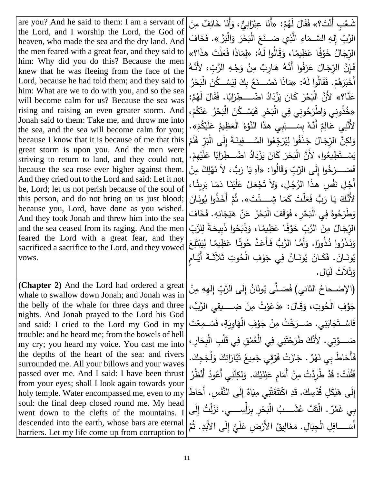are you? And he said to them: I am a servant of the Lord, and I worship the Lord, the God of heaven, who made the sea and the dry land. And the men feared with a great fear, and they said to him: Why did you do this? Because the men knew that he was fleeing from the face of the Lord, because he had told them; and they said to him: What are we to do with you, and so the sea will become calm for us? Because the sea was rising and raising an even greater storm. And Jonah said to them: Take me, and throw me into the sea, and the sea will become calm for you; because I know that it is because of me that this great storm is upon you. And the men were striving to return to land, and they could not, because the sea rose ever higher against them. And they cried out to the Lord and said: Let it not be, Lord; let us not perish because of the soul of this person, and do not bring on us just blood; because you, Lord, have done as you wished. And they took Jonah and threw him into the sea and the sea ceased from its raging. And the men feared the Lord with a great fear, and they sacrificed a sacrifice to the Lord, and they vowed vows.

**(Chapter 2)** And the Lord had ordered a great whale to swallow down Jonah; and Jonah was in the belly of the whale for three days and three nights. And Jonah prayed to the Lord his God and said: I cried to the Lord my God in my trouble: and he heard me; from the bowels of hell my cry; you heard my voice. You cast me into the depths of the heart of the sea: and rivers surrounded me. All your billows and your waves passed over me. And I said: I have been thrust from your eyes; shall I look again towards your holy temple. Water encompassed me, even to my soul: the final deep closed round me. My head went down to the clefts of the mountains. I descended into the earth, whose bars are eternal barriers. Let my life come up from corruption to

ِ ائ ا خ أَن ي، و ٌّ ِ ان ْر ِعب ا »أَن م َه ل ال َق ْ َت؟« ف ٍب أَن َ ع َ شَّ ٌف مِن َ .<br>. َ ُر<br>ہ َ ْ  $\overline{\phantom{a}}$ .<br>م ْ الرَّبِّ إِلهِ السَّـمَاءِ الَّذِي صَــنَعَ الْبَحْرَ وَالْبَرَّ ». فَخَافَ َ .<br>أ َ .<br>م  $\zeta$ ِ<br>و ا<br>ا الرِّجَالُ خَوْفًا عَظِيمًا، وَقَالُوا لَهُ: «لِمَاذَا فَعَلْتَ هذَا؟»<br>كَيْفَتْ الْجَمَالُ اللَّهُ مِنْ الْجَمَع <u>ا</u> َ ا<br>ا َ َ <u>ء</u> ْ فَإِنَّ الرِّجَالَ عَرَفُوا أَنَّهُ هَارِبٌ مِنْ وَجْهِ الرَّبِّ، لأَنَّهُ<br>ءَ **ٔ** َ <u>ئي</u> .<br>م أَخْبَرَهُمْ. فَقَالُوا لَهُ: «مَاذَا نَصْـــنَعُ بِكَ لِيَسْـــكُنَ الْبَحْرُ ْ .<br>-ْ .<br>أ ا<br>. ا<br>ا عَذَّا؟» لأَنَّ الْبَحْرَ كَانَ يَزْدَادُ اضْــــطِرَابًا. فَقَالَ لَهُمْ:<br>مِنْ ْ  $\overline{\phantom{a}}$ .<br>م َ .<br>أ :<br>. ـَـٰ َ َ «خُذُونِي وَاطْرَحُونِي فِي الْبَحْرِ ۖ فَيَسْــكُنَ الْبَحْرُ ۚ عَنْكُمْ،<br>أَيَـثُـدُونِي وَاحْزَ ْ ء<br>. .<br>. ْ <u>ہ</u> ْ » م ك َي ل ع ِظيم اْلع ء َذا النَّو ِبي هَّ ب ِبسَََََََََََََّّّّّّّّّّّّّ أَنََّّه ٌ م ِ ال َ ِي عَّ ألَنَّن . ْ ֦֧<u>֦</u> ء<br>ّ َ ْ .<br>ا **ـ** ْ وَلِكِنَّ الرِّجَالَ جَذَفُوا لِيُرَجِّعُوا السَّـــفِينَـةَ إِلَى الْبَرِّ فَلَمْ <u>ہ</u> **∶** يَسْــتَطِيعُوا، لأَنَّ الْبَحْرَ كَانَ يَزْدَادُ اضْـــطِرَابًا عَلَيْهِمْ.<br>. ْ <u>ٔ</u> َ َ .<br>-:<br>: <u>َ</u>ّ ا<br>ا .<br>م ْ <u>:</u> فَصَــــرَخُوا إِلَـي الرَّبِّ وَقَالُوا: «آهِ يَا رَبُّ، لاَ نَهْلِكْ مِنْ<br>ءَ  $\triangleleft$ َ  $\ddot{=}$ َ َ الَ ِل، و َذا الَّرجََّّ ِس هََّّ ف َ ِل ن أَجََّّ ا، ً ِري ََّّ ا ب ً َمََّّ ا د نََّّ َي ل ْ ع ل عََّّ َج ت َ **ٔ** ≏<br>: ۱ .<br>ا ْ َ َ ֧֓<u>֓</u> .<br>ا ان ونَّ َ ذوا ي َّم أَخَّ ْ َت«. ث َّ ِ ا شَََََََََََََّّّّّّّّّّّّّ َمَّ َت ك لَّ َع ب ف َ ا ر َ يَّ َ ألَنََّّك ا<br>ا ا<br>۔ <u>ا</u> َ وَطَرَحُوهُ فِي الْبَحْرِ ، فَوَقَفَ الْبَحْرُ ۚ عَنْ هَيَجَانِهِ. فَخَافَ َ ֪֪֪֪֧֚֝֝֝֝֝֝֝֝֬֝֬֝֬֝֝֬֝֬֝֬֝֝֬֝֬֝֝֬֝֟֝֟֓֝֬֝֬֝֝֬֝֬֝֓֟֓֬֝֬֝֓֝֬֝֬֝֬֝֝<br>֧֝֝֝ ى<br>ئ َ ءِ<br>پ <u>ٔ</u> ِ<br>; الرِّجَالُ مِنَ الرَّبِّ خَوْفًا عَظِيمًا، وَذَبَحُوا ذَبِيحَةً لِلرَّبِّ<br>. َ َ <u>ء</u> ْ وَنَذَرُوا نُذُورًا. وَأَمَّا الرَّبُّ فَأَعَدَّ حُوتًا عَظِيمًا لِيَبْتَلِعَ<br>.  $\zeta$ <u>َ</u> ْبَاءِ<br>پا ֖֖֖֖֖֖֝<br>֧֪֪֪֪֪֪֪֪֧֦֖֝֝֓֝֝֝֝֝֓֝֬֝֓֝֬֝֬֝֓֟֓֟֓֬֝֓֟֓֬֝֓֬֝֓֬֝֓֝<br>֧֪֧֧֪֧֪֧֝֝֓֝֬֝֓֬֝֬֝֬֝֓֬֝֬֝֓֝֬֝֓ <u>م</u> <u>م</u> َ َ يُونَـانَ. فَكَـانَ يُونَـانُ فِي جَوْفِ الْحُوتِ ثَلاَثَـةَ أَيَّـامٍ ْ  $\ddot{.}$ ا<br>ا ال. َ َي َالَ َْ ل ث َ و

<u>:</u> (الإِصْـحاحُ الثاني) فَصَـلَّى يُونَانُ إِلَى الرَّبِّ إِلهِهِ مِنْ ا<br>ا َ ا<br>ا جَوْفِ الْحُوتِ، وَقَالَ: «دَعَوْتُ مِنْ ضِـــــــــوِّي الرَّبَّ، <u>ء</u>  $\overline{\phantom{a}}$ َ َ <u>ٔ</u> فَاسْتَجَابَنِي. صَــرَخْتُ مِنْ جَوْفِ الْهَاوِيَةِ، فَسَــمِعْتَ ً<br>ب  $\frac{1}{2}$  $\epsilon$ ْ ֺ֧<sup>ֺ</sup> َ ْ صَــــؤتِي. لأَنَّكَ طَرَحْتَنِي فِي الْعُمْقِ فِي قَلْبِ الْبِحَارِ ، َ ْ <u>بَ</u> ــ<br>-َ ؛<br>' فَأَكَاظَ بِي نَهْرٌ . جَازَتْ فَوْقِي جَمِيعُ تَيَّارَاتِكَ وَلُجَجِكَ. َ َ َ  $\frac{1}{2}$  $\ddot{\phantom{0}}$ ؛<br>'  $\ddot{\phantom{0}}$ فَقُلْتُ: قَدْ طُرِدْتُ مِنْ أَمَامِ عَيْنَيْكَ. وَلِكِنَّنِي أَعُودُ أَنْظُرُ َ َ َ ْ <u>م</u> ً<br>ً .<br>-إِلَى هَيْكَلِ قُدْسِكَ. قَدِ اكْتَنَفَتْنِي مِيَاهٌ إِلَى النَّفْسِ. أَحَاطَ َ <u>ٌ</u>  $\ddot{=}$ <u>:</u> .<br>م ا<br>ا <u>آ</u> <u>ّ</u> َ ֦֧<u>֦</u> بِي غَمْرٌ . الْتَفَّ عُشْـــبُ الْبَحْرِ بِرَأْسِــــي. نَزَلْتُ إِلَى ا<br>ا َ ْل .<br>م َ ْ أَسَـــافِلِ الْجِبَالِ. مَغَالِيقُ الأَرْضِ عَلَيَّ إِلَى الأَبَدِ. ثُمَّ .<br>ا  $\overline{a}$ َ .<br>ا َ ً<br>ً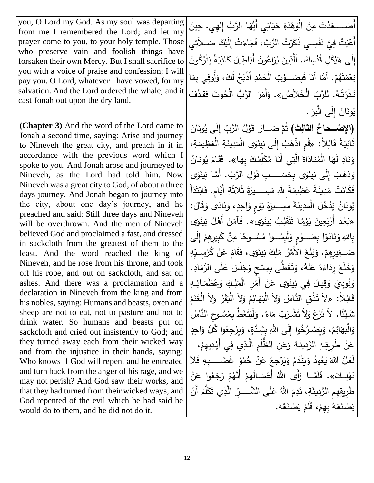you, O Lord my God. As my soul was departing from me I remembered the Lord; and let my prayer come to you, to your holy temple. Those who preserve vain and foolish things have forsaken their own Mercy. But I shall sacrifice to you with a voice of praise and confession; I will pay you. O Lord, whatever I have vowed, for my salvation. And the Lord ordered the whale; and it cast Jonah out upon the dry land.

**(Chapter 3)** And the word of the Lord came to Jonah a second time, saying: Arise and journey to Nineveh the great city, and preach in it in accordance with the previous word which I spoke to you. And Jonah arose and journeyed to Nineveh, as the Lord had told him. Now Nineveh was a great city to God, of about a three days journey. And Jonah began to journey into the city, about one day's journey, and he preached and said: Still three days and Nineveh will be overthrown. And the men of Nineveh believed God and proclaimed a fast, and dressed in sackcloth from the greatest of them to the least. And the word reached the king of Nineveh, and he rose from his throne, and took off his robe, and out on sackcloth, and sat on ashes. And there was a proclamation and a declaration in Nineveh from the king and from his nobles, saying: Humans and beasts, oxen and sheep are not to eat, not to pasture and not to drink water. So humans and beasts put on sackcloth and cried out insistently to God; and they turned away each from their wicked way and from the injustice in their hands, saying: Who knows if God will repent and be entreated and turn back from the anger of his rage, and we may not perish? And God saw their works, and that they had turned from their wicked ways, and God repented of the evil which he had said he would do to them, and he did not do it.

 $\frac{1}{\sqrt{2}}$ أَصْـــــعَدْتَ مِنَ الْوَهْدَةِ حَيَاتِي أَيُّهَا الرَّبُّ إِلْهِي. حِينَ  $\epsilon$ .<br>ا َ .<br>-<u>أُ</u> َ <u>َ</u> ا<br>ا أَعْيَتْ فِيَّ نَفْسِـي ذَكَرْتُ الرَّبَّ، فَجَاءَتْ إِلَيْكَ صَــلاَتِي َ **∶** ْ َ ك ي َ َى ه ِإل ون ك ْر ت ًة ي ب ِ اذ ك ِطيل ا أَب ون اع ر ي ين ِ ذ َّ َل . ا ِسك د ِل ق  $\frac{1}{1}$  $\frac{1}{\sqrt{2}}$ ــا<br>: ٔ. َ  $\overline{a}$ ٔ.  $\frac{1}{\sqrt{2}}$ َ  $\frac{1}{\sqrt{2}}$ َ .<br>.<br>. نِعْمَتَهُمْ. أَمَّا أَنَا فَبِصَــوْتِ الْحَمْدِ أَذْبَحُ لَكَ، وَأُوفِي بِمَا ا<br>ا َ َ ْ َ ْ َ َ ْ ْ بِّ الْخَلاَصُ». وَأَمَرَ الرَّبُ الْحُوتَ فَقَذَفَ .<br>م ا<br>ا َ نَذَرْتُـهُ. لِلرَّبِّ .<br>ا يُونَانَ إِلَى الْبَرِّ .

**ْ** (**الإِصْــحاحُ الثالِث) ثُمَّ صَـــارَ قَوْلُ الرَّبِّ ۚ إِلَى يُونَانَ** .<br>ا ْ .<br>م َ ثَانِيَةً قَائِلاً: «قُمِ اذْهَبْ إِلَى نِينَوَى الْمَدِينَةِ الْعَظِيمَةِ،<br>. ا<br>ا َ َ ا<br>ا **ٔ** وَذَادِ لَهَا الْمُنَادَاةَ الَّتِي أَنَا مُكَلِّمُكَ بِهَا». فَقَامَ يُونَانُ َ َ لّ َ .<br>ا َ  $\ddot{ }$ ا<br>ا مُ .<br>م وَذَهَبَ إِلَى نِينَوَى بِحَسَـــبِ قَوْلِ الرَّبِّ. أَمَّـا نِينَوَى <u>ٔ</u> َ َ فَكَانَتْ مَدِينَةً عَظِيمَةً لِلَّهِ مَسِــــيرَةَ ثَلاَثَةِ أَيَّامٍ. فَابْتَدَأَ<br>. :<br>ا ْ َ **ٔ** َ ا<br>ا ا<br>ا <u>ء</u> يُونَانُ يَدْخُلُ الْمَدِينَةَ مَسِـــيرَةَ يَوْمٍ وَاحِدٍ، وَنَادَى وَقَالَ:  $\overline{\phantom{0}}$ َ َ َ َ َ ؛<br>' .<br>با ا<br>ا َ َ ً<br>ً «بَعْدَ أَرْبَعِينَ يَوْمًا تَنْقَلِبُ نِينَوَى». فَآمَنَ أَهْلُ نِينَوَى ٍ<br>م <u>َ</u> <u>َ</u> ؛<br>. .<br>ا .<br>ب ْ ِ<br>ِ .<br>ا ا<br>ا َ بِاللهِ وَنَادَوْا بِصَـــوْمٍ وَلَبِسُـــوا مُسُـــوحًا مِنْ كَبِيرِهِمْ إِلَـى ْ  $\overline{a}$ ْ َ ا َ ؛<br>' َ صَــِغِيرِهِمْ. وَبَلَغَ الأَمْرُ ۖ مَلِكَ نِينَوَى، فَقَامَ عَنْ كُرْسِــيِّهِ **ٔ** مُ .<br>م َ ا<br>ا ا<br>ا  $\zeta$ ْ وَخَلَعَ رِدَاءَهُ عَنْهُ، وَتَغَطَّى بِمِسْحٍ وَجَلَسَ عَلَى الرَّمَادِ. ا<br>ا َ ا<br>ا ֺ֧<sup>ֺ</sup> َ ْ َ َ وَذُودِيَ وَقِيلَ فِي نِينَوَى عَنْ أَمْرِ الْمَلِكِ وَعُظَمَائِهِ َ ا<br>ب ْ <u>:</u> ا<br>ا قَائِلاً: «لاَ تَذُقِ النَّاسُ وَلاَ الْبَهَائِمُ وَلاَ الْبَقَلُ وَلاَ الْغَنَمُ َ .<br>و َ <u>َ</u> َ َ َ َ شَيْئًا. لاَ تَرْعَ وَلاَ تَشْرَبْ مَاءً. وَلْيَتَغَطَّ بِمُسُوحٍ النَّاسُ َ .<br>با َ َ **ٔ** َ ْ وَالْبَهَائِمُ، وَيَصْـرُخُوا إِلَى اللهِ بِشِّدَّةٍ، وَيَرْجِعُوا كُلُّ وَاحِدٍ َ .<br>م َ ا<br>ا عَنْ طَرِيقِهِ الرَّدِيئَةِ وَعَنِ الظُّلْمِ الَّذِي فِي أَيْدِيهِمْ، .<br>-ْ **:** <u>ء</u> َ َالَ ف ِبَّهِ َغضَََََََََََََّّّّّّّّّّّّّ ِ َ لْعَلَّ اللَّهَ يَعُودُ وَيَنْدَمُ وَيَرْجِعُ عَنْ حُمُوِّ َ :<br>. <u>ا</u> َبَا<br>أ َ نَهْلِـكَ». فَلَمَّـا رَأَى اللهُ أَعْمَـالَهُمْ أَنَّهُمْ رَجَعُوا عَنْ<br>.  $\triangleleft$ <u>:</u> ֺ֧<sup>ֺ</sup> ْ ْ ً<br>ً ْ َ طَرِيقِهِمِ الرَّدِيثَةِ، نَدِمَ اللهُ عَلَى الشَّــــرِّ الَّذِي تَكَلَّمَ أَنْ َ ا<br>ا .<br>-مُ َ يَصْنَعَهُ بِهِمْ، فَلَمْ يَصْنَعْهُ. ْ ْ َ ْ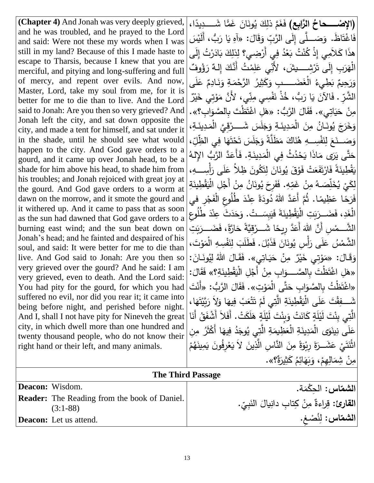**(Chapter 4)** And Jonah was very deeply grieved, and he was troubled, and he prayed to the Lord and said: Were not these my words when I was still in my land? Because of this I made haste to escape to Tharsis, because I knew that you are merciful, and pitying and long-suffering and full of mercy, and repent over evils. And now, Master, Lord, take my soul from me, for it is better for me to die than to live. And the Lord said to Jonah: Are you then so very grieved? And Jonah left the city, and sat down opposite the city, and made a tent for himself, and sat under it in the shade, until he should see what would happen to the city. And God gave orders to a gourd, and it came up over Jonah head, to be a shade for him above his head, to shade him from his troubles; and Jonah rejoiced with great joy at the gourd. And God gave orders to a worm at dawn on the morrow, and it smote the gourd and it withered up. And it came to pass that as soon as the sun had dawned that God gave orders to a burning east wind; and the sun beat down on Jonah's head; and he fainted and despaired of his soul, and said: It were better for me to die than live. And God said to Jonah: Are you then so very grieved over the gourd? And he said: I am very grieved, even to death. And the Lord said: You had pity for the gourd, for which you had suffered no evil, nor did you rear it; it came into being before night, and perished before night. And I, shall I not have pity for Nineveh the great city, in which dwell more than one hundred and twenty thousand people, who do not know their right hand or their left, and many animals.

**ْ** (**الإِصْـــِـحاحُ الزَّابِعِ) فَغَمَّ ذلِكَ يُونَانَ غَمَّا شَــــدِيدًا،** ا<br>ا َ ا َظ. َ ْغت ا َ َ ف ق ِ و ّ َى الَّرب َّى ِإل ل َ َصََََََََّّّّّّّّ ْ َس و َي ب، أَل ا ر ي ِ »آه ال َ َ  $\ddot{=}$  $\overline{\phantom{a}}$ هذَا كَلاَمِي إِذْ كُنْتُ بَعْدُ فِي أَرْضِي؟ لِذِلِكَ بَادَرْتُ إِلَى<br>\* َ َ .<br>ب ْ َ الْهَرَبِ إِلَى تَرْشِــــيشَ، لأَنِّي عَلِمْتُ أَنَّكَ إِلـهٌ رَؤُوفٌ َ َ َ **ـ** وَرَحِيمٌ بَطِيءُ الْغَضَـــــبِ وَكَثِيرُ الرَّحْمَةِ وَنَادِمٌ عَلَى َ <u>َ</u> َ ا<br>ا <u>ٔ</u> َ َ ً<br>أ َ الشَّرِّ . فَالآنَ يَا رَبُّ، خُذْ نَفْسِي مِنِّي، لأَنَّ مَوْتِي خَيْرٌ َ ْ ً<br>ً <u>َ</u> مِنْ حَيَاتِي». فَقَالَ الرَّبُ: «هَلِ اغْتَظْتَ بِالصَّوَابِ؟». ءِ<br>، <u>بَ</u> ر<br>ن  $\overline{\phantom{a}}$ .<br>م وَخَرَجَ يُونَـانُ مِنَ الْمَـدِينَـةِ وَجَلَسَ شَـــرْقِيَّ الْمَدِينَـةِ،<br>-َ ا<br>ا **ٔ**  $\overline{a}$  $\ddot{\phantom{0}}$ َ ا<br>ا ا<br>ا <u>َ</u>ـٰ وَصَـــذَعَ لِنَفْسِـــهِ هُٰذَاكَ مَظَلَّةً وَجَلَسَ تَحْتَهَا فِي الظِّلِّ،<br>وَصَـــذَعَ لِنَفْسِـــهِ هُٰذَاكَ مَظَلَّةً وَجَلَسَ تَحْتَهَا فِي الظِّلِّ، َ <u>ٔ</u>  $\overline{a}$  $\ddot{\phantom{0}}$ َ ً<br>ً .<br>ا اب<br>ا حَتَّى يَرَى مَاذَا يَحْدُثُ فِي الْمَدِينَةِ. فَأَعَدَّ الرَّبُّ الإِلهُ<br>. <u>م</u> <u>ہ</u> َ َ <u>ٔ</u> يَقْطِينَةً فَارْتَفَعَتْ فَوْقَ يُونَانَ لِتَكُونَ ظِلاً عَلَى رَأْسِــهِ، ُرِ<br>ُ ء<br>ِ .<br>-<u>َ</u>ـٰ .<br>ا  $\overline{\phantom{0}}$ ْ **ٔ** ِّ<br>م بِّهِ. فَفَرِحَ يُونَانُ مِنْ أَجْلِ الْيَقْطِينَةِ ا<br>ا ِّ<br>م <u>َ</u> **:** .<br>ا ا<br>ا  $\ddot{\phantom{0}}$ .<br>م لِكَيْ يُخَلِّصَـهُ مِنْ غَمِّ<br>ِ لّ **ٔ** فَرَحًا عَظِيمًا. ثُمَّ أَعَدَّ اللهُ دُودَةً عِنْدَ طُلُوعِ الْفَجْرِ في<br>. <u>م</u> **ٔ** .<br>-<u>َ</u> َ الْغَدِ، فَضَــرَبَتِ الْيَقْطِينَةَ فَيَبِسَــتْ. وَحَدَثَ عِنْدَ طُلُوعِ .<br>-֡<u>֚</u> َ َ ً<br>ب .<br>با َ .<br>ا ֺ<u>֓</u>֖֓֡֬֟֓֟֓֟֓֟֓֟֓֟֓֟֓֟֓֟֓֟֓֟֓֟֓֟֓֟֓֟֓֟֓֟֓ الشَّــمْسِ أَنَّ اللهَ أَعَدَّ رِيحًا شَـــرْقِيَّةً حَارَّةً، فَضَـــرَبَتِ<br>الشَّــمْسِ أَنَّ اللهَ أَعَدَّ رِيحًا شَـــرْقِيَّةً حَارَّةً، فَضَـــرَبَتِ َ َ َ **ٔ** <u>م</u> َ ا<br>ا الشَّمْسُ عَلَى رَأْسِ يُونَانَ فَذَبُلَ. فَطَلَبَ لِنَفْسِهِ الْمَوْتَ،<br>-ا<br>ا ا<br>ا **:**  $\overline{\phantom{0}}$ .<br>ا ا<br>ا َ وَقَّالَ: «مَوْتِي خَيْرٌ مِنْ حَيَاتِي». فَقَالَ اللهُ لِيُونَـانَ:<br>وَاللهُ عَيْلُ اللهُ اللهُ اللهُ اللهُ اللهُ اللهُ اللهُ اللهُ اللهُ اللهُ اللهُ اللهُ اللهُ اللهُ اللهُ الله  $\ddot{ }$ َ َ <u>ٔ</u> ا<br>ا .<br>م «هَلِ اغْتَظْتَ بِالصَّــــوَابِ مِنْ أَجْلِ الْيَقْطِينَةِ؟» فَقَالَ:  $\overline{a}$ ِ<br>م اب<br>ا ِ<br>م <u>َ</u> **:** .<br>-ءِ<br>ت «اغْتَظْتُ بِالصَّوَابِ حَتَّى الْمَوْتِ». فَقَالَ الرَّبُ: «أَنْتَ  $\overline{\phantom{a}}$ .<br>م <u>ٔ</u> ا<br>ا َ َ ْ َم ِي ل ت َّ ال ةِ ِطين ق َى اْلي ل َ َت ع ق ِ ف َ َ شَََََََََّّّّّّّّّ َّ ا، َه ت بَّي الَ ر ا و يه ِ ف َب ْع ت ت َ ُ<br>ا  $\ddot{ }$ .<br>ا ْ .<br>. َ َ **ٔ** <u>آ</u> الَّتِي بِنْتَ لَيْلَةٍ كَانَتْ وَبِنْتَ لَيْلَةٍ هَلَكَتْ. أَفَلاَ أَشْفَقُ أَنَا َ <u>ئي</u> ֦֧<u>֓</u> َ َ ֦֧<u>֓</u> عَلَى نِينَوَى الْمَدِينَةِ الْعَظِيمَةِ الَّتِي يُوجَدُ فِيهَا أَكْثَرُ مِنِ<br>. ـ<br>أ َ **ٔ** َ َ َ ا<br>ا ْ اثْنَتَيْ عَشَــرَةَ رِبْوَةً مِنَ النَّاسِ الَّذِينَ لاَ يَعْرِفُونَ يَمِينَهُمْ  $\ddot{=}$ .<br>ا َ <u>ٔ</u> .<br>. ْ .<br>ا .<br>ا مِنْ شِمَالِهِمْ، وَبَهَائِمُ كَثِيرَةٌ؟». َ  $\overline{\phantom{a}}$  $\triangleleft$ **∶** ْ <u>:</u>

| <b>The Third Passage</b>                                          |                                                         |
|-------------------------------------------------------------------|---------------------------------------------------------|
| Deacon: Wisdom.                                                   | الشماس: الحكْمَة.                                       |
| <b>Reader:</b> The Reading from the book of Daniel.<br>$(3:1-88)$ | ا <b>لقارئ:</b> قِراءةٌ مِنْ كِتابِ دانِيالَ النَبِيِّ. |
| <b>Deacon:</b> Let us attend.                                     | الشماس: لِنُصْغ.                                        |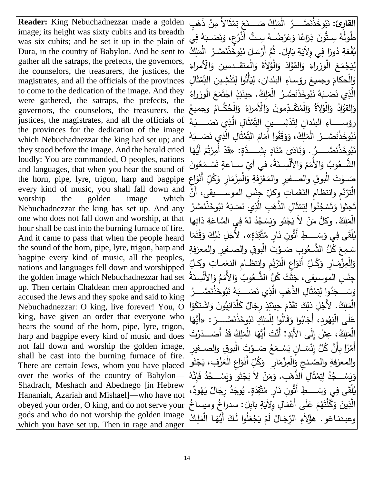**Reader:** King Nebuchadnezzar made a golden image; its height was sixty cubits and its breadth was six cubits; and he set it up in the plain of Dura, in the country of Babylon. And he sent to gather all the satraps, the prefects, the governors, the counselors, the treasurers, the justices, the magistrates, and all the officials of the provinces to come to the dedication of the image. And they were gathered, the satraps, the prefects, the governors, the counselors, the treasurers, the justices, the magistrates, and all the officials of the provinces for the dedication of the image which Nebuchadnezzar the king had set up; and they stood before the image. And the herald cried loudly: You are commanded, O peoples, nations and languages, that when you hear the sound of the horn, pipe, lyre, trigon, harp and bagpipe every kind of music, you shall fall down and worship the golden image which Nebuchadnezzar the king has set up. And any one who does not fall down and worship, at that hour shall be cast into the burning furnace of fire. And it came to pass that when the people heard the sound of the horn, pipe, lyre, trigon, harp and bagpipe every kind of music, all the peoples, nations and languages fell down and worshipped the golden image which Nebuchadnezzar had set up. Then certain Chaldean men approached and accused the Jews and they spoke and said to king Nebuchadnezzar: O king, live forever! You, O king, have given an order that everyone who hears the sound of the horn, pipe, lyre, trigon, harp and bagpipe every kind of music and does not fall down and worship the golden image, shall be cast into the burning furnace of fire. There are certain Jews, whom you have placed over the works of the country of Babylon— Shadrach, Meshach and Abednego [in Hebrew Hananiah, Azariah and Mishael]—who have not obeyed your order, O king, and do not serve your gods and who do not worship the golden image which you have set up. Then in rage and anger

**القارِئ:** نَبُوخَذْنَصَّــرُ ۖ الْمَلِكُ صَـــنَعَ تِمْثَالاً مِنْ ذَهَبٍ<br>المَّارِث ى<br>ئا .<br>-ْ َ َ ٔ َ طُولُهُ سِتُّونَ ذِرَاعًا وَعَرْضُــهُ سِتُّ أَذْرُعٍ، وَنَصَــبَهُ فِي<br>\* ٔ. ً<br>ً َ َ َ بُقْعَةِ دُورَا فِي وِلِآيَةِ بَابِلَ. ثُمَّ أَرْسَلَ نَبُوخََذْنَصَـرُ ۖ الْمَلِكُ ا<br>ا َ َ َ .<br>• َ  $\overline{\phantom{0}}$ ٔ. <u>َ:</u> لِيَجْمَعَ الْوزراءَ وَالْقَوَّادَ وَالْوُلاَةَ وَالْمتقــدمين وَالْأَمراءَ<br>يَذْيَبَ الْعَارَاءَ الْقَوَّادَ وَالْوُلاَةَ وَالْمتقــدمين وَالْأَمراءَ َ َ َ **ء**<br>• **: ء**<br>• َ وَالْحكامَ وجميعَ رؤساءِ البلدان، لِيَأْتُوا لِتَدْشِينِ التِّمْثَالِ<br>تَعْلَمُتْ مِنْ مَنْسَوْمِ الْمَلَانِ الْمَلَامِ الْمَلَامِنِينَ التِّمْثَالِ ا<br>ا َ َ الَّذِي نَصَـبَهُ نَبُوخَذْنَصَّـرُ الْمَلِكُ. حِينَئِذٍ اجْتَمَعَ الْوزراءُ |<br>بنسبه سنندَهُ بِينَ يَسَبِّ  $\zeta$ ا<br>ا **ٔ** َ ا<br>ا .<br>ا .<br>. َ وَالقوَّادُ وَالْوُلاَةُ وَالْمُتَقَـدِّ َ .<br>م دِّمونَ وَالْأَمراءُ وَالْحُكَّـامُ وجميعُ|<br>-.<br>-َ َ رؤســــاءِ البلدانِ لِتَدْشِــــينِ النِّمْثَالِ الَّذِي نَصَــــبَهُ<br>. َ ا<br>. ا<br>ا نَبُوخَذْنَصَّــرُ الْمَلِكُ، وَوَقَفُوا أَمَامَ التِّمْثَالِ الَّذِي نَصَــبَهُ َ َ ا<br>ا مُ ً<br>ٌ َ َ ً<br>ٌ نَبُوخَذْنَصَّـــرُ . وَنَادَى مُنَادٍ بِشِـــدَّةٍ: «قَدْ أُمِرْتُمْ أَيُّهَا<br>نَّهُ فَيَا مَنْ أَيُّهَا َ ْ .<br>ا .<br>-<br>-ا<br>ا .<br>ا َ .<br>ا ون ع م َسَََّّّ َّ ت ّ سَََّّّ َّاعةٍ ة ، في أي ن ِ األَْلسَََّّّ َّ و م األ م َ و وب ع الشَََّّّ َّ ا<br>ا ـا<br>. اب<br>ا َ ا<br>ا ِّ أَنْوَاعِ َ صَــوْتَ الْبوقِ والصــفيرِ والمَعْزِفةِ وَالْمِزْمَارِ وَكُلِّ<br>نُسْمِيْتَ الْبِوقِ الصــفيرِ َ ا<br>ا َ ْ ا<br>ا <u>:</u> الْترَنُمِ وانتظامِ النَغَماتِ وِكلِّ جِنْسِ الموســــيقي، أَنْ ا<br>ا تَجثوا وَتَسْجُدُوا لِتِمْثَالِ الذَّهَبِ الَّذِي نَصَبَهُ نَبُوخَذْنَصَّرُ<br>في الله .<br>ا َ َ َ َ َ ا<br>ا ـا<br>. **ٔ** الْمَلِكُ. وكلُّ مَنْ لاَ يَجْتُو وَيَسْجُدُ لهُ فِي السَّاعَةِ ذاتِها<br>نُوسِكِيْ مَنْ الْمَيْتُو وَيَسْجُدُ لهُ فِي السَّاعَةِ ذاتِها ا<br>ا ْ َ <u>م</u> يُلْقَى فِي وَسَــــطِ أَتُّونِ نَارٍ مُتَّقِدَةٍ». لأَجْلِ ذلِكَ وَقْتَمَا<br>يُنْسَى مِنْ الْمَسْمِدِينَ الْمَسْمِدِينَ ا<br>ا َ **ٔ** .<br>ا ا<br>ا سَمِعَ كُلُّ الشُّعُوبِ صَـوْتَ الْبوقِ والصـفيرِ والمعزفةِ<br>تَفْسُعُمْ عَلَّى الشُّعُوبِ صَـوْتً َ ِّ يِّ أَنْوَاعِ الْترَنُّمِ وانتظـامِ النغمـاتِ وكلِّ َ وَالْمِزْمَـارِ وَكُـكِّ جِنْسِ الموسيقى، جَثَّتْ كُلُّ الشُّعُوبُ وَالأَمَمُ وَالأَلسِنَةُ<br>مُسْتَمِّسْتَ الشَّعُوبُ وَالأَلسِنَةُ َ **:** <u>َ</u> اب<br>ا ِ<br>ہ ا<br>ا <u>و</u><br>. وَسَـــجَدُوا لِتِمْثَالِ الذَّهَبِ الَّذِي نَصَـــبَهُ نَبُوخَذْنَصَـــرُ<br>نُّـــنِّـــنَّـــدَّابِ الذَّهَبِ الَّذِي نَصَـــبَهُ نَبُوخَذْنَصَـــرُ َ َ َ :<br>; ً<br>. ى<br>ئا ْ الْمَلِكُ. لأَجْلِ ذلِكَ تَقَدَّمَ حِينَئِذٍ رِجَالٌ كَلْدَانِيُّونَ وَاشْتَكَوْا<br>أَيَّسَا فَيَسْتَمَرُّونَ وَاشْتَكَوْا ْ ْ َ .<br>-ֺ֧<sup>ֺ</sup> َ مُ .<br>م <u>بَ</u>ّ َ **ٔ** عَلَى الْيَهُودِ، أَجَابُوا وَقَالُوا لِلْمَلِكِ نَبُوخَذْنَصَـــرَ : «أَيُّهَا<br>\* سند الله عليه الله عليه الله عليه الله عليه الله عليه الله عليه الله عليه الله عليه الله عليه الله عليه الله  $\epsilon$ َ <u>َ</u> َ ا<br>ا َ َ  $\ddot{\phantom{0}}$ الْمَلِكُ، عِشْ إِلَى الأَبَدِ! أَنْتَ أَيُّهَا الْمَلِكُ قَدْ أَصْـــدَرْتَ<br>أَمَّا أَنَّهُ مَنْ النَّابِينَ مِنْ النَّابِينَ مِنْ الْمَلَاكُ قَدْ أَصْـــدَرْتَ ا<br>ا .<br>-<br>-ا<br>ا  $\epsilon$ َ أَمْرًا بِأَنَّ كُلَّ إِنْسَـانٍ يَسْـمَعُ صَــوْتَ الْبوقِ والصــفيرِ<br>. َ ا<br>ا ْ ً<br>ب ا<br>، ِّ أَنْوَاعِ الْعَزْفِ، يَجْثُو **ٔ ء** َ والمعزفةِ والصُنجِ وَالْمِزْمَارِ ۗ وَكُلِّ َ ً<br>ً ء<br>بَ وَيَسْـــجُدُ لِتِمْثَالِ الذَّهَبِ. وَمَنْ لاَ يَجْثُو وَيَسْـــجُدُ فَإِنَّهُ<br>وَجَمَــــجُدُ لِتِمْثَالِ الذَّهَبِ. وَمَنْ لاَ يَجْثُو وَيَسْـــجُدُ فَإِنَّهُ ً<br>ً َ ى<br>ئا ا<br>ا ْ َ ْ َ **ٔ** يُلْقَى فِي وَسَـــطِ أَتُّونِ نَارٍ مُتَّقِدَةٍ. يُوجَدُ رِجَالٌ يَهُودٌ،<br>تَّ <u>َ:</u> -<br>.  $\ddot{\phantom{0}}$ .<br>-َ خ خ وميسَّا سَّد ار اِبل ب ةِ ا ِل ِوالَي م َى أَع ل ع م َه َّكْلت َ َ و ين ِ ذ َّ ال ֪֖֝֝֝֝֝֝<br>֧֢֪֖֖֖֖֪֖֖֪֪֖֚֚֚֚֚֚֚֚֚֚֝֝֝֝֝֝֝֝ َ  $\ddot{ }$ ا<br>ا ْ <u>ء</u> ْ وعبدنـاغو. هؤْلاَءِ الرِّجَـالُ لَمْ يَجْعَلُوا لَـكَ أَيُّهَـا الْمَلِكُ  $\overline{a}$ َ َ َ **:** ْ ֺ֧<sup>ֺ</sup>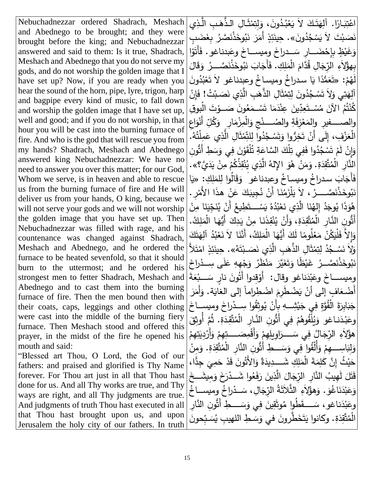Nebuchadnezzar ordered Shadrach, Meshach and Abednego to be brought; and they were brought before the king; and Nebuchadnezzar answered and said to them: Is it true, Shadrach, Meshach and Abednego that you do not serve my gods, and do not worship the golden image that I have set up? Now, if you are ready when you hear the sound of the horn, pipe, lyre, trigon, harp and bagpipe every kind of music, to fall down and worship the golden image that I have set up, well and good; and if you do not worship, in that hour you will be cast into the burning furnace of fire. And who is the god that will rescue you from my hands? Shadrach, Meshach and Abednego answered king Nebuchadnezzar: We have no need to answer you over this matter; for our God, Whom we serve, is in heaven and able to rescue us from the burning furnace of fire and He will deliver us from your hands, O king, because we will not serve your gods and we will not worship the golden image that you have set up. Then Nebuchadnezzar was filled with rage, and his countenance was changed against Shadrach, Meshach and Abednego, and he ordered the furnace to be heated sevenfold, so that it should burn to the uttermost; and he ordered his strongest men to fetter Shadrach, Meshach and Abednego and to cast them into the burning furnace of fire. Then the men bound then with their coats, caps, leggings and other clothing were cast into the middle of the burning fiery furnace. Then Meshach stood and offered this prayer, in the midst of the fire he opened his mouth and said:

"Blessed art Thou, O Lord, the God of our fathers: and praised and glorified is Thy Name forever. For Thou art just in all that Thou hast done for us. And all Thy works are true, and Thy ways are right, and all Thy judgments are true. And judgments of truth Thou hast executed in all that Thou hast brought upon us, and upon Jerusalem the holy city of our fathers. In truth

اعْتِبَارًا. آلِهَتَكَ لاَ يَعْبُدُونَ، وَلِتِمْثَالِ الذَّهَبِ الَّذِي ْ َ ْ َ <u>َ</u>ـٰ ْ <u>َ</u> نَصَبْتَ لاَ يَسْجُدُونَ». حِينَئِذٍ أَمَرَ نَبُوخَذْنَصَّرُ بِغَضَبٍ<br>مَمَدْتَ لاَ يَسْجُدُونَ». حِينَئِذٍ أَمَرَ َ َ َ َ .<br>م ا<br>ا َ ْ ً<br>ب وَغَيْظٍ بِإِحْضَـــارِ سَــدراخَ وميســاخَ وعَبدناغو. فَأَتَوْا ْ ء<br>، <u>ٔ</u> َ **∶** اب أَج ِ ِك. ف ل اْلم َّدام ا ِل ق َ ِج ّ الر الَءِ ِبهؤ ال ق و َّصََََََََّّّّّّّّ َّر ْذن وخ ب ن ֺ֧<sup>ֺ</sup> َ ا<br>ء مُ  $\overline{\phantom{a}}$ َ ؛ َ **∶** َ .<br>-لَّهُمْ: «تَعَمُّدًا يَا سدراخُ وميساخُ وعبدناغو لا تَعْبُدُونَ<br>حَسَّمَتُ ْ ْ .<br>-آلِهَتِي وَلاَ تَسْجُدُونَ لِتِمْثَالِ الذَّهَبِ الَّذِي نَصَبْتُ! فَإِنْ<br>أَلَّهُ يَسَّمَّ <u>ہ</u> َ <u>ئي</u> ا<br>ا <u>َ</u> ْ دِّينَ عِنْدَمَا تَسْـمَعُونَ صَــوْتَ الْبوقِ<br>-َ ا<br>ا ـا<br>. ا<br>ا <u>ا</u><br>ا .<br>-كُنْتُمُ الآنَ مُسْتَعِدِّدِ<br>ا ْ <u>َ</u> ا<br>ا والصــــــفيرِ والمَعْزِفَةِ والصُـــــنْجِ وَالْمِزْمَارِ ۖ وَكُلِّ أَنْوَاعِ<br>في الصحيح والمَعْزِفةِ والصُــــنْجِ وَالْمِزْمَارِ ۖ وَكُلِّ أَنْوَاعِ **ٔ** ءِ<br>و .<br>∶ َ َ . ه ْلت مِ ِي ع ذ َّ َا ِل ال ث م ِ ّ لت ِ وا ل د ج َسََّّ ت روا و ِخ ت َى أَن ْز ِف، ِإل َ اْلع <u>م</u> ا<br>ا ـا<br>. َ ــّ<br>ا .<br>-وَإِنْ لَمْ تَسْجُدُوا فَفِي تِلْكَ السَّاعَةِ تُلْقَوْنَ فِي وَسَطِ أَتُّونِ<br>وَأَسْسَمَدُوا فَفِي تِلْكَ السَّاعَةِ تُلْقَوْنَ فِي وَسَطِ أَتُّونِ ً<br>ب ء<br>؞ .<br>• <u>ٔ</u> ء<br>ت َ ْ ْ <u>:</u> ال<br>ا النَّارِ الْمُتَّقِدَةِ. وَمَنْ هُوَ الإِلهُ الَّذِي يُنْقِذُكُمْ مِنْ يَدَيَّ؟».<br>كَمَّا النَّاسُ الْمُتَّقِدَةِ. َ ا<br>ا َ .<br>ا .<br>ا .<br>-ْ ا ِ ِك »ي ل لم ِ وا ل ال ق خ وعبدناغوَ و خ وميسَّ َّا َ سَّ َّد ار اب َ أَج َ ف <u>َ</u> َ َ َ نَبُوخَذْنَصَّـــرُ ، لاَ يَلْزَمُنَا أَنْ نُجِيبَكَ عَنْ هذَا الأَمْرِ .<br>مُكَمِّدُ النَّامُ الثَّامُ الْمَسْمَعَةِ الْمُسْمَعَةِ الْمَسْمَعِينَ الْمَسْمَعِينَ ا<br>ا <u>:</u> .<br>ا  $\ddot{\phantom{0}}$ <u>:</u> جِّيَنَا مِنْ َ ֖֖֖֖֖֖֖֖֖֖֖֖֪֪֦֪֪֪֦֪֪֪֪֦֪֪֪֪֦֧֪ׅ֧֪֪ׅ֧֪ׅ֧֓֓֓֓֓֓֓֓֓֓֟֓֟֓֡֬֝֓֟֓֟֓֡֟֓֟֓֡֟֟֓֡֟֟֓֡֟֟֓֓֓֓ هُوَذَا يُوجَدُ إِلهُنَا الَّذِي نَعْبُدُهُ يَسْـــتَطِيعُ أَنْ يُنَجِّرِ<br>وَالْمُسَاءِبِ الْجُمَاءِ الْجَمَاءِ الْمَسَاءِ الْمَسَاءِ الْمَسَاءِ .<br>-<br>. <u>َ</u> ـا<br>. ْ .<br>ا أَتُّونِ النَّارِ الْمُتَّقِدَةِ، وَأَنْ يُنْقِذَنَا مِنْ يَدِكَ أَيُّهَا الْمَلِكُ.<br>وَيَتَّقَلُمُونَ الْمُتَّقِدَةِ، وَأَنْ يُنْقِذَنَا مِنْ يَدِكَ أَيُّهَا الْمَلِكُ. ا<br>.  $\epsilon$ .<br>نا َـاً<br>∶ .<br>-اب<br>ا ֺ<u>֟</u> .<br>-<br>-َ .<br>ا :<br>: وَإِلاَّ فَلْيَكُنْ مَعْلُومًا لَكَ أَيُّهَا الْمَلِكُ، أَنَّنَا لاَ نَعْبُدُ آلِهَتَكَ<br>وَيَالِمُ الْمَالِكُ، وَيَوْمَ الْمَالِكُ، وَيَوْمَ الْمَالِكُ، وَيَوْمَ الْمَالِكُ، وَيَوْمَ الْمَالِكَ الْمَ  $\epsilon$ ْ ا<br>ا ا<br>ا َ ْ وَلَاَ نَسْـجُدُ لِتِمْثَالِ الذَّهَبِ الَّذِي نَصَـبْتَهُ». حِينَئِذٍ امْتَلأَّ<br>محمد الصحيح ا<br>ا َ ِ<br>ا َ َ ْ ـا<br>، َ نَبُوخَذْنَصَّــرُ غَيْظًا وَتَغَيَّرَ مَنْظَرُ وَجْهِهِ عَلَى سِــدْراخَ|  $\frac{1}{2}$ َ **:** َ ֡<u>֡</u> ا<br>ا َ َ <u>ّ</u> وميســـاخَ وعَبْدَناغو وقال: أَوْقِدوا أَتُونَ نارٍ سَــــبْعَةَ<br>يَ َ **:** ً<br>ب  $\frac{1}{2}$ ؛<br>'  $\ddot{ }$ ا<br>. َ أَضْعَافٍ إلى أَنْ يَضْطَرِمَ اضْطِراماً إلى الغَايَة. وَأَمَرَ ا<br>. َ  $\overline{\phantom{a}}$ .<br>أ مُ .<br>أ <u>:</u> جَبَابِرَةَ الْقُوَّةِ فِي جَيْشِــهِ بِأَنْ يُوثِقُوا سِــدْراخَ وميســاخَ |<br>جَبَابِرَةَ الْقُوَّةِ فِي جَيْشِــهِ بِأَنْ يُوثِقُوا سِــدْراخَ وميســاخَ | .<br>-**∶** وعَبْدَناغو وَيُلْقُوهُمْ فِي أَتُّونِ النَّـارِ الْمُتَّقِدَةِ. ثُمَّ أُوثِقَ<br>مُنجَّسِد ׇ֡<u>֓</u>  $\overline{\phantom{a}}$ .<br>-ْ ْ هؤُلاَءِ الرِّجَالُ فِي سَـــرَاوِيلِهِمْ وَأَقْمِصَــــتِهِمْ وَأَرْدِيَتِهِمْ .<br>با .<br>ا َ أَمَّةٌ ً<br>ت َ م<br>ءِ َ ً<br>ب .<br>-وَلِبَاسِـــهِمْ وَأُلْقُوا فِي وَسَـــطِ أَتُّونِ النَّارِ الْمُتَّقِّدَةِ. وَمِنْ<br>وَلِبَاسِـــهِمْ وَأُلْقُوا فِي وَسَـــطِ أَتُّونِ النَّارِ الْمُتَّقِّدَةِ. وَمِنْ َ .<br>ا َ َ ْ حَيْثُ إِنَّ كَلِمَةَ الْمَلِكِ شَـــدِيدَةٌ وَالأَتُونَ قَدْ حَمِيَ جِدًّا،<br>كَذَا يَسْتَمَرَّضَ الْمَلَّكِ الْمَسْدِيدَةُ وَالأَتُونَ قَدْ حَمِيَ جِدًّا، ء<br>ِ .<br>ا ا<br>. .<br>. َ <u>َ</u>ـٰ َ َخ ِميشََََََّّّّّّ َّ َ َخ و ْر َ د وا شََََََََّّّّّّّّ َع ف َ ر ين ِ ذ َّ ال ال ِج ّ النَّاِر الر ِهيب َ ل َ َل ت َ ق َ .<br>م  $\overline{\phantom{a}}$ ֺ֧<sup>ֺ</sup> وَعَبْدَنَا غُوَ . وَهؤْلاَءِ ۖ الثَّلاَثَةُ الزِّجَالِ، سَــدْراخُ وميســاخُ ْ .<br>-<br>-ً<br>أ  $\ddot{\phantom{0}}$ وعَبْدَناغو، سَــــقَطُوا مُوثَقِينَ فِي وَسَــــطِ أَتُّونِ النَّارِ<br>نَّـــ<sup>ءَ</sup>ّ ً<br>ب َ <u>َ</u>ـٰ ِ<br>ْ <u>َ</u> الْمُتَّقِدَةِ. وكانوا يَتَخَطَّرونَ في وَسَطِ اللهيبِ يُسَبِّحونَ َبا<br>ا .<br>-ً<br>ب ً<br>ب َ  $\frac{1}{\sqrt{2}}$ َ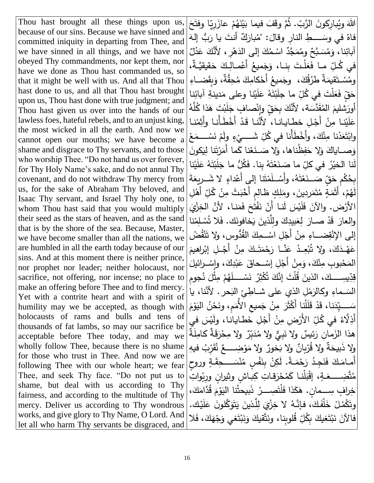Thou hast brought all these things upon us, because of our sins. Because we have sinned and committed iniquity in departing from Thee, and we have sinned in all things, and we have not obeyed Thy commandments, nor kept them, nor have we done as Thou hast commanded us, so that it might be well with us. And all that Thou hast done to us, and all that Thou hast brought upon us, Thou hast done with true judgment; and Thou hast given us over into the hands of our lawless foes, hateful rebels, and to an unjust king, the most wicked in all the earth. And now we cannot open our mouths; we have become a shame and disgrace to Thy servants, and to those who worship Thee. "Do not hand us over forever, for Thy Holy Name's sake, and do not annul Thy covenant, and do not withdraw Thy mercy from us, for the sake of Abraham Thy beloved, and Isaac Thy servant, and Israel Thy holy one, to whom Thou hast said that you would multiply their seed as the stars of heaven, and as the sand that is by the shore of the sea. Because, Master, we have become smaller than all the nations, we are humbled in all the earth today because of our sins. And at this moment there is neither prince, nor prophet nor leader; neither holocaust, nor sacrifice, not offering, nor incense; no place to make an offering before Thee and to find mercy. Yet with a contrite heart and with a spirit of humility may we be accepted, as though with holocausts of rams and bulls and tens of thousands of fat lambs, so may our sacrifice be acceptable before Thee today, and may we wholly follow Thee, because there is no shame for those who trust in Thee. And now we are following Thee with our whole heart; we fear Thee, and seek Thy face. "Do not put us to shame, but deal with us according to Thy fairness, and according to the multitude of Thy mercy. Deliver us according to Thy wondrous works, and give glory to Thy Name, O Lord. And let all who harm Thy servants be disgraced, and

 $\ddot{\phantom{0}}$ اللهَ ويُبارِكونَ الزَّبّ. ثُمَّ وقَفَ فيما بَيْنَهُمْ عازَرِيّا وفتَحَ َ ْ ْ أ .<br>ا <u>ہ</u> َ فاهُ في وسَـــطِ النارِ وقالَ: "مُبارَكٌ أنتَ يا رَبُّ إلهَ<br>تَمَسُسُمَةٌ .<br>م  $\overline{\phantom{a}}$ آبائِنا، وَمُسَـبَّحٌ ومُمَجَّدٌ اسْـمُكَ إلى الدَهْرِ ، لأَنَّكَ عَدْلٌ<br>أبائِنا ، وَمُسَـبَّحٌ ومُمَجَّدٌ اسْـمُكَ إلى الدَهْرِ ، لأَنَّكَ عَدْلٌ <u>ء</u> ُ<br>ف َ ْ ا<br>ا <u>ا</u> لَََّّّ َع ِ مَََّّّا ف ّ ل في كَََّّّ قيقيََََّّّّة،ٌ َ ح ِ ك مَََّّّالَََّّّ أَع ميع ج َت ِبنَََّّّا، و **ہ** َ ْ **∶** َ ومُسْـتَقيمَةٌ طرُقُكَ، وجَميعُ أَحْكامِكَ مُحِقَّةٌ، وَبِقَضــاءِ<br>سَيَّةٌ وَجَميعُهُ َ .<br>أ <u>ٔ</u>  $\ddot{\phantom{0}}$ َ ْ حَقِّ فَعَلْتَ في كُلِّ ما جلَبْتَهُ عَلَيْنا وعلى مَدينةِ آبائِنا<br>مَّا جَمَّا وَجِبَّا وَجَمَعَ مَّا وَجَمَعَ الْجَمَعَةِ الْجَمَعَةِ مِنْ وَجَمَعَتْ وَجَمَعَتْ وَجَمَعَتْ وَجَ ً<br>ً ْ َ ْ <u>ا</u> أورَشَليمَ المُقَدَّسَة، لأَنَّكَ بِحَقِّ وإِنْصافٍ جَلَبْتَ هَذا كُلَّهُ<br>يَذِينَ الْمُقَدَّسَة ى<br>ئا **∶** َ ـا<br>. .<br>-عَلَيْنا مِنْ أَجْلِ خطايانا، لأنَّنا قَدْ أَخْطَأْنا وأَثِمْنا ْ ا<br>ا .<br>-<br>-**:** ر<br>أ وابْتَعَدْنا مِنْكَ، وأَخْطَأْنا في كُلِّ شَــــيْءٍ ولَمْ نَسْـــمَعْ ا<br>ا ْ ْ .<br>. .<br>-<br>-ْ .<br>ا وَصــاياكَ وَلا حَفِظْناها، وَلا صَــنَعْنا كَما أَمَرْتَنا لِيَكونَ<br>تَمَسَّسَسَةَ  $\ddot{=}$ َ .<br>ا ا<br>ا ْ َ َ َ نا َي ل ع َه ت َب ل ل ما ج َك ِبنا. ف َه ت َع ن ِ ما صَّ ّ في كل ْر َنا الخي ل **ٔ** َ ْ  $\ddot{\phantom{0}}$ ْ ً<br>ءَ بِحُكْمِ حَقِّ صَــنَعْتَهُ، وأَسْـلَمْتَنا إلى أَعْداءٍ لا شَــريعَةَ<br>يَجْمَعُ مَقِّ ْ <u>آ</u> ا<br>ا ـا<br>. ْ <u>ّ</u> **و** لَهُمْ، أَثَمَـةٍ مُتَمَردينَ، ومَلِكٍ ظالِمٍ أَخْبَثَ مِنْ كُلِّ أَهْلِ<br>يئ  $\ddot{\phantom{0}}$ َ .<br>-أ <u>ة</u> مِنْ كُلِّ<br>ء .<br>-الأَرْض. والآنَ فَلَيْسَ لَنا أَنْ نَفْتَحَ فَمَنا، لِأَنَّ الْخِزْيَ<br>ا ا<br>ا  $\tilde{\phantom{0}}$ **ٔ** ا<br>ا .<br>-َ .<br>ا والعارَ قَدْ صـارَ لِعَبيدِكَ ولِلَّذينَ يَخافونَك. فَلا تُسْلِمْنا  $\frac{1}{\sqrt{2}}$ ر<br>. َ ا<br>. ـا<br>. إلى الإنْقِضـــاءِ مِنْ أَجْلِ اسْــمِكَ القُدُّوسِ، ولا تَنْقُضْ ֡<u>֚</u> <u>َ</u> َ ْ **ٔ** .<br>-<u>َ</u> مُ عَهْدَكَ، ولا تُبْعِـدْ عَنَّـا رَحْمَتَـكَ مِنْ أَجْـلِ إبْراهيمَ ْ **ٔ** .<br>-َ ا<br>ا ــ<br>-ء<br>ءَ **:**  $\triangleleft$  $\overline{\phantom{0}}$ المَحْبوبِ مِنْكَ، وَمِنْ أَجْلِ إِسْحاقَ عَبْدِكَ، وإِسْـرائيلَ<br>" ْ َ ْ <u>م</u> ْ **ٔ** .<br>-َ ْ ِ يسَََََََََََََّّّّّّّّّّّّّ ّ قِدِّيسِـــكَ، الذينَ قُلْتَ إِنَّكَ تُكْثِرُ نَسْــــلَهُمْ مِثْلَ نُجومِ ْ ْ <u>ْ</u> َ <u>ا</u> .<br>-السَّـماءِ وكالرَمْلِ الذي على شــاطِئِ النَّحرِ . لأنَّنا، ياً<br>مدين منظَّم تَّقْلُ أَنْ ْ مُ سَـــتِّدَنا، قَدْ قَلَلْنا أَكْثَرَ مِنْ جَميعِ الأُمَمِ، ونَحْنُ النَوْمَ<br>تَسَـَّــتِّــتَّاهُ ْ .<br>با ا<br>ا  $\ddot{\phantom{0}}$ .<br>م <u>ْ</u> <u>ٰ</u> .<br>-<br>-ِّ الأَرْضِ مِنْ أَجْلِ خَطايانا، ولَيْسَ في **:** .<br>-.<br>ا أَذِلَّاءُ في كُلِّ<br>أَنْسَانَةٍ َ هَذَا الزَمَانِ رَئِيسٌ ولا نَبِيٌّ ولا مُدَبِّرٌ ولا مِحْرَقَةٌ كَامِلَةٌ<br>مَذَا الزَّمَانِ رَئِيسٌ ولا نَبِيٌّ ولا مُدَبِّرٌ ولا مِحْرَقَةٌ كَامِلَةٌ َ  $\ddot{ }$ َ ولا ذَبيحَةٌ ولا قُرْبانٌ ولا بَخورٌ ولا مَوْضِــــعٌ نُقَرِّبُ فيهِ<br>ءَ ا<br>ا **ٔ** أَمَامَكَ فَنَجِدُ رَحْمَـةً. لَكِنْ بِنَفْسٍ مُنْسَـــحِقَـةٍ وروحٍ<br>. ً<br>ب .<br>م ا<br>ا .<br>-ا<br>ا ــ<br>-ِت وا بَّ َّا ٍش وثي ارٍن وِرب ِت كِ قَّ َّا ْر ح َم ْلنَّ َّا ك ْب ، إق ةٍ َ عَّ َّ ِ تَّضَََََََََََََّّّّّّّّّّّّّ م **:** َ  $\ddot{\cdot}$ خِرافٍ سِـــمانٍ. هَكَذا فَلْتَصِـــرْ ذَبيحتُنا النَوْمَ قُدَّامَكَ،<br>كَتَّافُسُونَ مِنْ النَّافِينَ مُ ؛<br>' .<br>با .<br>ب **ک**<br>. َ <u>ٔ</u> وتَكْمُلْ خَلْفَكَ، فإنَّـهُ لا خِزْيَ لِلَّذينَ يَتَوَكَّلونَ عَلَيْك.<br>منعّ منك ֦֧<u>֦</u> <u>ء</u> َ َـاً<br>ا .<br>-ا<br>ة ِّ قُلوبِنا، ونَتَّقيكَ وَنَبْتَغي وَجْهَكَ، فَلا َ **ٔ** َ ْ َ َ َ فالآنَ نَبْتَغيكَ بِكُلِّ ْ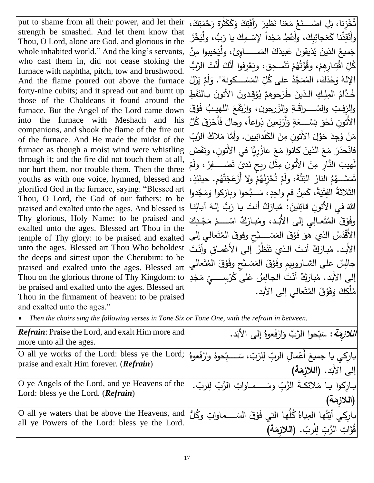put to shame from all their power, and let their strength be smashed. And let them know that Thou, O Lord, alone are God, and glorious in the whole inhabited world." And the king's servants, who cast them in, did not cease stoking the furnace with naphtha, pitch, tow and brushwood. And the flame poured out above the furnace forty-nine cubits; and it spread out and burnt up those of the Chaldeans it found around the furnace. But the Angel of the Lord came down into the furnace with Meshach and his companions, and shook the flame of the fire out of the furnace. And He made the midst of the furnace as though a moist wind were whistling through it; and the fire did not touch them at all, nor hurt them, nor trouble them. Then the three youths as with one voice, hymned, blessed and glorified God in the furnace, saying: "Blessed art Thou, O Lord, the God of our fathers: to be praised and exalted unto the ages. And blessed is Thy glorious, Holy Name: to be praised and exalted unto the ages. Blessed art Thou in the temple of Thy glory: to be praised and exalted unto the ages. Blessed art Thou Who beholdest the deeps and sittest upon the Cherubim: to be praised and exalted unto the ages. Blessed art Thou on the glorious throne of Thy Kingdom: to be praised and exalted unto the ages. Blessed art Thou in the firmament of heaven: to be praised and exalted unto the ages."

تُخْزِنا، بَلِ اصْـــنَعْ مَعَنا نَظيرَ رَأَفَتِكَ وَكَكَثْرَةٍ رَحْمَتِكَ،<br>فَمَرَّ َ ً<br>بہ ــ<br>-َ َ َ َ َ َ <u>ً</u> َ م<br>أ ا<br>ا ْ وأَنْقِذْنا كَعَجائِبِكَ، وأَعْطِ مَجْداً لإِسْمِكَ يا رَبُّ، ولْيَخْزَ َ ْ َ َ ْ **ٔ** ً<br>. .<br>-جَميعُ الذينَ يُذيقونَ عَبيدَكَ المَســـــاوِئَ، ولْيَخيبوا مِنْ<br>مُسَعِّمَةً )<br>. ا<br>ا .<br>نا <u>م</u> ِّ اقْتِدارِهِمْ، وقُوَّتُهُمْ تَنْسحِق، ويَعْرِفوا أَنَّكَ أَنْتَ الرَّبُّ َ ْ  $\frac{1}{2}$ <u>َ</u> ثم ْ گلِّ<br>كل ֡֡<u>֡</u> بِّ المَسْـــكونة". وَلَمْ يَزَلْ ْ َ ْ ا<br>ا الإِلهُ وَحْدَكَ، المُمَجَّدُ على كُلِّ<br>أوَّدَ ا<br>ا <u>ٔ</u> خُدَّامُ المِلِكِ الذينَ طَرَحوهمْ يُوْقِدونَ الأَتونَ بِالنَّفْطِ<br>يَدِينَ النَّامُ  $\frac{1}{\sqrt{2}}$  $\frac{1}{\sqrt{2}}$ ْ ْ  $\frac{1}{\sqrt{2}}$  $\overline{\phantom{a}}$ والزِفْتِ والسُــــراقَـةِ والزَرجون، وارْتَفَعَ اللهيبُ فَوْقَ<br>والزفت ْ  $\zeta$ َ **ٔ** الأَتونِ نَحْوَ تِسْــِعَةٍ وَأَرْبَعينَ ذِراعاً، وجالَ فَأَحْرَقَ كُلَّ<br>الأَتون نَحْوَ تِسْــِعَةٍ وَأَرْبَعينَ ذِراعاً، وجالَ فَأَحْرَقَ كُلَّ .<br>. <u>ہ</u>  $\overline{\phantom{0}}$ .<br>-<u>:</u> .<br>م َ **ء** ْ <u>ٔ</u> ،<br>-مَنْ وُجِدَ حَوْلَ الأَتونِ مِنَ الكَلْدانِيين. وأمَّا مَلاكُ الرَّبِّ<br>مَا مَسْلِمِنِينَ مِنْ النَّامِينِينَ مِنَ الْمَسْلَمِنِينَ مِنْ الْمَسْلَمِينَ <u>َ</u> ؛<br>' <u>َ</u> فانْحدَرَ مَعَ الذينَ كانوا مَعَ عازْرِيًّا في الأتونِ، ونَفَضَ<br>يَرْضَعُ الذينَ عَانوا مَعَ .<br>م َ َ <u>َ</u>ـٰ ْ َم ، ول ِر ف َصَََََََََََََّّّّّّّّّّّّّ ت ً دى ري ٍح نَّ ْل ثَّ األَتوِن مِ النََّّاِر مِن َ َهيَّب ل ا<br>ا َ  $\overline{a}$ .<br>-تَمَسَّــهُمُ النارُ البَتَّةَ، ولَمْ تُحْزِنْهُمَّ ولا أَزْعَجَتْهُم. حينَئِذٍ،<br>نفَسَــهُمُ النارُ َ **∶** ْ <u>ٔ</u> ْ َ الثَّلاثَةُ الفِتْيَةُ، كَمِنْ فمٍ واحِدٍ، سَــبَّحوا وبارَكوا وَمَجَّدوا ا<br>. <u>:</u> ْ ا<br>ب َ َ اللَّهَ في الأتونِ قائِلينَ: مُبارَكٌ أنتَ يا رَبُّ إلـهَ آبائِنا<br>. َ .<br>م .<br>ا .<br>ا وفَوْقَ المُتَعالِي إلى الأَبَد، ومُبارَكٌ اسْـــمُ مَجْـدِكَ<br>وفَوْقَ المُتَعالِي إلى الأَبَـد، **:** ا<br>ا ْ .<br>أ ِ<br>پُ الأَقْدَسُ الذي هوَ فَوْقَ المَسَـــبَّحِ وفوقَ المُتَعالي إلى<br>سَأَّ  $\overline{\phantom{0}}$ ً<br>ب َ  $\overline{\phantom{a}}$ ْ َ الأبد. مُبارَكٌ أنتَ الذي تَنْظُرُ إلى الأعْماقِ وأنْتَ<br>مَا اللَّهُ مَثَّلَّاتٌ الذي تَنْظُرُ إلى الأعْماقِ وأنْتَ <u>م</u> <u>آ</u> جالِسٌ على الشــاروبيمِ وفَوْقَ المَسَـبَّحِ وفَوْقَ المُتَعالي<br>سَيْسَةً مَسْتَمَسُّمَةً مِسْتَمَسْتَمْسَ  $\overline{\phantom{0}}$ ْ ً<br>ب ا<br>ا  $\overline{\phantom{0}}$ ْ ِيِّ مَجْدِ **:** ا<br>ا .<br>اب إِلَى الأَبَد. مُبارَكٌ أَنْتَ الجالِسُ عَلى كُرْسِــــيِّ<br>فُرِينَا النَّارَ المُسَارَ .<br>ا َ مُلْكِكَ وَفَوْقَ المُتَعالي إلى الأبد. ْ

• *Then the choirs sing the following verses in Tone Six or Tone One, with the refrain in between.*

| Refrain: Praise the Lord, and exalt Him more and<br>more unto all the ages.                                                                                                                                     | <i>اللازمَة:</i> سَبّحوا الرَّبَّ وَارْفَعوهُ إلى الأَبَد.     |
|-----------------------------------------------------------------------------------------------------------------------------------------------------------------------------------------------------------------|----------------------------------------------------------------|
| ابارِكِي يا جميعَ أَعْمالِ الربِّ لِلرَبِّ، سَــــبِّحوهُ وارْفَعوهُ [[O all ye works of the Lord: bless ye the Lord;<br> إلى الأَبَد. ( <b>اللازِمَة)</b> [1] praise and exalt Him forever. ( <i>Refrain</i> ) |                                                                |
|                                                                                                                                                                                                                 |                                                                |
| O ye Angels of the Lord, and ye Heavens of the<br>Lord: bless ye the Lord. ( <i>Refrain</i> )                                                                                                                   | بـاركوا يـا مَلائكــةَ الرَّبِّ وسَــــمـاواتِ الرَّبّ لِلربّ. |
|                                                                                                                                                                                                                 | (اللازمَة)                                                     |
|                                                                                                                                                                                                                 |                                                                |
| بارِكِي أَيْتُها الْمِياهُ كُلُّها الْتِي فَوْقَ السَـــماواتِ وكُلُّ O all ye waters that be above the Heavens, and<br>أَقُوَّاتِ الرَّبِّ لِلْربّ. (اللازمَة) all ye Powers of the Lord: bless ye the Lord.   |                                                                |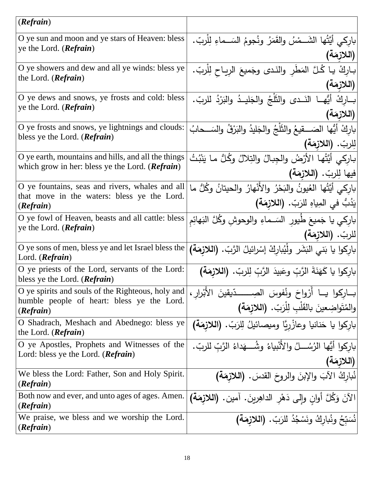| (Refrain)                                                                                                         |                                                                                                                         |
|-------------------------------------------------------------------------------------------------------------------|-------------------------------------------------------------------------------------------------------------------------|
| O ye sun and moon and ye stars of Heaven: bless<br>ye the Lord. ( <i>Refrain</i> )                                | بارِكِي أَيَّتُها الشَــمْسُ والقَمَرُ ونُـجومُ السَــماءِ لِلَّربّ.<br> (اللازمَة)                                     |
| O ye showers and dew and all ye winds: bless ye<br>the Lord. $(\textit{Refrain})$                                 | بارِكْ يَا كُلَّ المَطَرِ والنَدى وجَميعَ الرِياحِ لِلْربّ.<br> (اللازمَة)                                              |
| O ye dews and snows, ye frosts and cold: bless<br>ye the Lord. ( <i>Refrain</i> )                                 | بارِكْ أَيُّها النَسدى والثَلْجُ والجَليدُ والبَرْدُ للربّ.<br>  (اللازمَة)                                             |
| O ye frosts and snows, ye lightnings and clouds:<br>bless ye the Lord. $(\textit{Refrain})$                       | ْ بارِكْ أَيُّها الصَــــقيعُ والثَّلْجُ والجَليدُ والبَرْقُ والسَـــحابُ<br>لِلربّ . (اللازمَة)                        |
| O ye earth, mountains and hills, and all the things<br>which grow in her: bless ye the Lord. $(\textit{Refrain})$ | باركي أيَّتُها الأرْضُ والجِبالُ والتِلالُ وكُلُّ ما يَنْبُتُ<br>فيها لِلربِّ. (اللازمَة)                               |
| O ye fountains, seas and rivers, whales and all<br>that move in the waters: bless ye the Lord.<br>(Refrain)       | بارِكي أَيَّتُها العُيونُ والبَحْرُ والأَنْهارُ والحيتانُ وكُلُّ ما<br> يَذُبُّ في المِياهِ للرَبّ. (ا <b>للازِمَة)</b> |
| O ye fowl of Heaven, beasts and all cattle: bless<br>ye the Lord. ( <i>Refrain</i> )                              | ُ بارِكي يا جَميعَ طَيورِ  السَــماءِ ۖ والوحوشِ وكُلَّ  البَهائِم<br>للربِّ. (اللازمَة)                                |
| O ye sons of men, bless ye and let Israel bless the<br>Lord. ( <i>Refrain</i> )                                   | بارِكوا يا بَني النَشَر ولْيُبارِكْ إسْرائيلُ الرَّبّ. (اللازِمَة)                                                      |
| O ye priests of the Lord, servants of the Lord:<br>bless ye the Lord. (Refrain)                                   | باركوا يا كَهَنَةَ الرَّبِّ وعَبيدَ الرَّبِّ لِلربِّ. (اللازمَة)                                                        |
| O ye spirits and souls of the Righteous, holy and<br>humble people of heart: bless ye the Lord.<br>(Refrain)      | بارِكوا يــا أَرْواحَ ونُفوسَ الصِـــــدّيقينَ الأَبْرارِ ،<br>والمُتَواضِعينَ بالقَلْبِ لِلْرَبّ. (اللازِمَة)          |
| O Shadrach, Meshach and Abednego: bless ye<br>the Lord. $(Refrain)$                                               | باركوا يا حَنانيا وعازْريًا وميصائيلُ لِلرَبّ. (اللازمَة)                                                               |
| O ye Apostles, Prophets and Witnesses of the<br>Lord: bless ye the Lord. ( <i>Refrain</i> )                       | باركوا أيُّها الرُسُــــلُ والأَنْبياءُ وشُــــهَداءُ الرَّبّ للربّ.<br> (اللازِمَة)                                    |
| We bless the Lord: Father, Son and Holy Spirit.<br>(Refrain)                                                      | نُباركُ الآبَ والإبنَ والروحَ القدسَ. (اللازِمَة)                                                                       |
| Both now and ever, and unto ages of ages. Amen.<br>(Refrain)                                                      | [الآنَ وَكُلَّ أُوانِ وإلى دَهْرِ الداهِرِينَ. آمين. (اللازِمَة)                                                        |
| We praise, we bless and we worship the Lord.<br>(Refrain)                                                         | نُسَبِّحُ ونُباركُ ونَسْجُدُ للرَبِّ. (اللازمَة)                                                                        |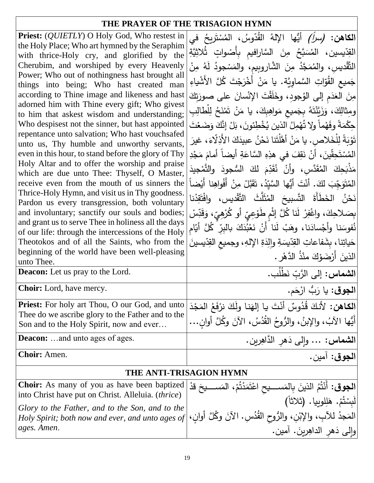## **THE PRAYER OF THE TRISAGION HYMN**

ْ  $\tilde{a}$ 

> ا<br>ا ْ

ْ .<br>-ا<br>ا

:<br>.

َ

**ء**<br>.

مُ

ْ

َ

ا<br>ا

.<br>ب َ

֡֡<u>֡</u>

ً<br>ب

ا<br>ا

<u>ا</u>

 $\triangleleft$ 

**∶** 

 $\triangleleft$ 

ا<br>ا .<br>-

<u>َ</u>

.<br>ا

أَ َ الذين ْ ر ذ الَّد من َ ْك َض ْ و هر.

**الشماس:** إلى الرَّبِّ نَطْلًا

ا**لجوق:** يا رَبُّ ارْحَم.

<u>ْ</u>

ً<br>ً .<br>-

مَذْبَحِكَ المُقَدَّسِ، وأَنْ نُقَدِّمَ لكَ السُّ<br>.

.<br>-

 $\ddot{\phantom{0}}$ 

بِصَلاحِكَ، واغْفِرْ لَنا كُلَّ إِثْمِ طَوْعِيِّ أَو كُرْهِيٍّ<br>وَسَمَّدُ فَيَاءَ الْمَسْرَ وَمَا أَوْ وَالْمُؤْثَّلُ

**ٔ** 

ـا<br>.

<u>َ</u>

َ

َهِر الَّداهِ **الشماس:** ... رين.

ِ<br>م

؛<br>'

<u>ٔ</u>

ْ

.<br>-

ً<br>ٌ .<br>-

َ

ـَـٰ

<u>ء</u>

֡֡<u>֡</u> <u>بَ</u>ّ

.<br>-

َ

ْ

.<br>ا

**الكاهن:** لأنكَ قَدُوسٌ أَنْتَ يا إلهَنا ولكَ نرْفَعُ المَجْدَ<br>أ

أَيُّها الآبُ، والإِبنُ، والرُّوحُ الْقُدُسُ، الآنَ وكُلَّ أُوانٍ...

ْ

َ

مَ

َ

َ

<u>آ</u>

.<br>-

ا**لكاهن:** *(سراً)* **أيُّها الإِلهُ القُدّوسُ، المُسْتَريخُ في** القِدِّيسين، المُسَبَّحُ مِنَ السَّارافيمِ بِأَصْواتٍ ثُلاثِيَّةِ<br>والقَدِّيسين التَّ ق دي ِس، والم م مِ َّجد ن ال َّش اروبي ِم، والم س َل م جود ِ ه ن .<br>-جَميعِ القُوّاتِ السَّماوِيَّة. يا مَنْ أَخْرَجْتَ كُلَّ الأَشْياءِ مِنَ العَدَمِ إلى الوُجودِ، وخَلَقْتَ الإِنْسانَ على صورَتِكَ .<br>ا وِمِثَالِكَ، وَزَيَّنْتَهُ بِجَميعِ مَواهِبِكَ، يا مَنْ تَمْنَحُ لِلْطالِبِ<br>وَجَالَتُ الْمَسْرَةِ حِكْمَةً وفَهْماً ولا تُهْمِلُ الذين يُخْطِئونَ، بَلْ إنَّكَ وَضَعْتَ<br>مَسَمَّةً وفَهْماً ولا تُهْمِلُ الذين يُخْطِئونَ، بَلْ إنَّكَ وَضَعْتَ تَوْبَةً لِلْخَلاصِ . يا مَنْ أَهَّلْتَنا نَحْنُ عبيدَكَ الأَذِلَّاءَ ، غيرَ َ المُسْتَحِقّينَ، أَنْ نَقِفَ في هذِهِ السَّاعَةِ أيضاً أمامَ مَجْدِ<br>المُسْتَحِقّينَ كَمَّا اللَّهُ عَنْهُمْ مَنْ السَّاعَةِ **:** ا<br>ا دَّسِ، وأَنْ نُقَدِّمَ لكَ السُّجودَ والتَّمْجيدَ المُتَوَجِّبَ لكَ. أَنْتَ أَيُّها السَّيِّدُ، تَقَبَّلْ مِنْ أَفْواهِنا أَيْضاً<br>. نَحْنُ الخَطَأَةَ التَّسبيحَ المُثَلَّثَ التَّقْديس، وافْتَقِدْنا<br>\* .<br>-<br>-<u>بَ</u> ِيِّ، وَقَدِّسْ<br>شُمُسَ ئَسْ ، وَقَدِّ نُفوسَنا وأِجْسادَنا، وهَبْ لَنا أَنْ نَعْبُدَكَ بالْبِرِّ كُلَّ أَيَّامِ حَياتِنا، بِشَفاعاتِ القِدِّيسَةِ واِلِدَةِ الإِلهِ، وجميعِ القِدِّيسينَ .<br>-**Priest:** (*QUIETLY*) O Holy God, Who restest in the Holy Place; Who art hymned by the Seraphim with thrice-Holy cry, and glorified by the Cherubim, and worshiped by every Heavenly Power; Who out of nothingness hast brought all things into being; Who hast created man according to Thine image and likeness and hast adorned him with Thine every gift; Who givest to him that askest wisdom and understanding; Who despisest not the sinner, but hast appointed repentance unto salvation; Who hast vouchsafed unto us, Thy humble and unworthy servants, even in this hour, to stand before the glory of Thy Holy Altar and to offer the worship and praise which are due unto Thee: Thyself, O Master, receive even from the mouth of us sinners the Thrice-Holy Hymn, and visit us in Thy goodness. Pardon us every transgression, both voluntary and involuntary; sanctify our souls and bodies; and grant us to serve Thee in holiness all the days of our life: through the intercessions of the Holy Theotokos and of all the Saints, who from the beginning of the world have been well-pleasing unto Thee. **Deacon:** Let us pray to the Lord.

**Choir:** Lord, have mercy.

**Priest:** For holy art Thou, O our God, and unto Thee do we ascribe glory to the Father and to the Son and to the Holy Spirit, now and ever…

**Deacon:** …and unto ages of ages.

**الجوق:** آمين. .Amen **:Choir**

# **THE ANTI-TRISAGION HYMN**

| into Christ have put on Christ. Alleluia. (thrice)  | Choir: As many of you as have been baptized   الجوق: أَنْتُمُ الذينَ بِالْمَســـيح اعْتَمَدْتُمْ، الْمَســيحَ قَدْ<br>لَبِسْتُمْ. هَلِلوبِيا. (ثلاثاً) |
|-----------------------------------------------------|--------------------------------------------------------------------------------------------------------------------------------------------------------|
| Glory to the Father, and to the Son, and to the $ $ | المَجْدُ للأَبِ، والإِبْن، والرُّوح القُدُسِ. الآنَ وكُلَّ أوان،  Holy Spirit; both now and ever, and unto ages of                                     |
| ages. Amen.                                         | وإلى دَهر الداهِرينَ. أمين.                                                                                                                            |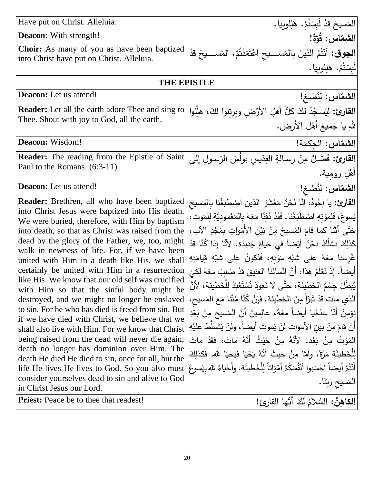| Have put on Christ. Alleluia.                                                                                                                                                                                                                                                                                                                                                                                                                                                                                                                                                                                                                                                                                                                                                                                                                                                                                                                                                                                                                                                       | المَسيحَ قَدْ لَبِسْتُمْ. هَلِلوبِيا.                                                                                                                                                                                                                                                                                                                                                                                                                                                                                                                                                                                                                                                                                                                                                                                                                                                                                                                                                                                                                                                                              |
|-------------------------------------------------------------------------------------------------------------------------------------------------------------------------------------------------------------------------------------------------------------------------------------------------------------------------------------------------------------------------------------------------------------------------------------------------------------------------------------------------------------------------------------------------------------------------------------------------------------------------------------------------------------------------------------------------------------------------------------------------------------------------------------------------------------------------------------------------------------------------------------------------------------------------------------------------------------------------------------------------------------------------------------------------------------------------------------|--------------------------------------------------------------------------------------------------------------------------------------------------------------------------------------------------------------------------------------------------------------------------------------------------------------------------------------------------------------------------------------------------------------------------------------------------------------------------------------------------------------------------------------------------------------------------------------------------------------------------------------------------------------------------------------------------------------------------------------------------------------------------------------------------------------------------------------------------------------------------------------------------------------------------------------------------------------------------------------------------------------------------------------------------------------------------------------------------------------------|
| <b>Deacon:</b> With strength!                                                                                                                                                                                                                                                                                                                                                                                                                                                                                                                                                                                                                                                                                                                                                                                                                                                                                                                                                                                                                                                       | الشمّاس: قُوَّةٌ!                                                                                                                                                                                                                                                                                                                                                                                                                                                                                                                                                                                                                                                                                                                                                                                                                                                                                                                                                                                                                                                                                                  |
| <b>Choir:</b> As many of you as have been baptized<br>into Christ have put on Christ. Alleluia.                                                                                                                                                                                                                                                                                                                                                                                                                                                                                                                                                                                                                                                                                                                                                                                                                                                                                                                                                                                     | ا <b>لجوق:</b> أَنْتُمُ الذينَ بِالمَســــيح اعْتَمَدْتُمْ، المَســــيحَ قدْ<br>لَبِسْتُمْ. هَلِلوبيا.                                                                                                                                                                                                                                                                                                                                                                                                                                                                                                                                                                                                                                                                                                                                                                                                                                                                                                                                                                                                             |
|                                                                                                                                                                                                                                                                                                                                                                                                                                                                                                                                                                                                                                                                                                                                                                                                                                                                                                                                                                                                                                                                                     | <b>THE EPISTLE</b>                                                                                                                                                                                                                                                                                                                                                                                                                                                                                                                                                                                                                                                                                                                                                                                                                                                                                                                                                                                                                                                                                                 |
| <b>Deacon:</b> Let us attend!                                                                                                                                                                                                                                                                                                                                                                                                                                                                                                                                                                                                                                                                                                                                                                                                                                                                                                                                                                                                                                                       | الشماس: لِنُصْغ!                                                                                                                                                                                                                                                                                                                                                                                                                                                                                                                                                                                                                                                                                                                                                                                                                                                                                                                                                                                                                                                                                                   |
| <b>Reader:</b> Let all the earth adore Thee and sing to                                                                                                                                                                                                                                                                                                                                                                                                                                                                                                                                                                                                                                                                                                                                                                                                                                                                                                                                                                                                                             | ا <b>لقارئ:</b> لِيَسجُدْ لكَ كلُّ أهلِ الأرْضِ ويرتِلوا لكَ، هلِّلوا                                                                                                                                                                                                                                                                                                                                                                                                                                                                                                                                                                                                                                                                                                                                                                                                                                                                                                                                                                                                                                              |
| Thee. Shout with joy to God, all the earth.                                                                                                                                                                                                                                                                                                                                                                                                                                                                                                                                                                                                                                                                                                                                                                                                                                                                                                                                                                                                                                         | للهِ يا جَميعَ أهْلِ الأرض.                                                                                                                                                                                                                                                                                                                                                                                                                                                                                                                                                                                                                                                                                                                                                                                                                                                                                                                                                                                                                                                                                        |
| Deacon: Wisdom!                                                                                                                                                                                                                                                                                                                                                                                                                                                                                                                                                                                                                                                                                                                                                                                                                                                                                                                                                                                                                                                                     | الشماس: الحكْمَة!                                                                                                                                                                                                                                                                                                                                                                                                                                                                                                                                                                                                                                                                                                                                                                                                                                                                                                                                                                                                                                                                                                  |
| <b>Reader:</b> The reading from the Epistle of Saint<br>Paul to the Romans. (6:3-11)                                                                                                                                                                                                                                                                                                                                                                                                                                                                                                                                                                                                                                                                                                                                                                                                                                                                                                                                                                                                | ا <b>لقارئ:</b> فَصْـلٌ مِنْ رِسـالةِ القِدّيسِ بولُسَ الرَسـولِ إلى<br> أَهْلِ رومِية.                                                                                                                                                                                                                                                                                                                                                                                                                                                                                                                                                                                                                                                                                                                                                                                                                                                                                                                                                                                                                            |
| <b>Deacon:</b> Let us attend!                                                                                                                                                                                                                                                                                                                                                                                                                                                                                                                                                                                                                                                                                                                                                                                                                                                                                                                                                                                                                                                       | الشماس: لِنُصْغ!                                                                                                                                                                                                                                                                                                                                                                                                                                                                                                                                                                                                                                                                                                                                                                                                                                                                                                                                                                                                                                                                                                   |
| <b>Reader:</b> Brethren, all who have been baptized<br>into Christ Jesus were baptized into His death.<br>We were buried, therefore, with Him by baptism<br>into death, so that as Christ was raised from the<br>dead by the glory of the Father, we, too, might<br>walk in newness of life. For, if we have been<br>united with Him in a death like His, we shall<br>certainly be united with Him in a resurrection<br>like His. We know that our old self was crucified<br>with Him so that the sinful body might be<br>destroyed, and we might no longer be enslaved<br>to sin. For he who has died is freed from sin. But<br>if we have died with Christ, we believe that we<br>shall also live with Him. For we know that Christ<br>being raised from the dead will never die again;<br>death no longer has dominion over Him. The<br>death He died He died to sin, once for all, but the<br>life He lives He lives to God. So you also must<br>consider yourselves dead to sin and alive to God<br>in Christ Jesus our Lord.<br><b>Priest:</b> Peace be to thee that readest! | القارئ: يا إخْوَةُ، إنَّا نَحْنُ مَعْشَرَ الذينَ اصْطَبَغْنا بِالمَسيح<br>يَسوعَ، فَلِموْتِهِ اصْطَبَغْنا. فَقَدْ دُفِنّا مَعَهُ بِالمَعْمودِيَّةِ لِلْمَوتِ،<br>حَتَّى أَنَّنا كَما قامَ المَسيحُ مِنْ بَيْنِ الأَمْواتِ بِمَجْدِ الآبِ،<br>كَذلِكَ نَسْلُكُ نَحْنُ أَيْضاً في حَياةٍ جَديدَة. لأنَّا إذا كُنَّا قدْ<br> غُرِسْنا مَعَهُ على شِبْهِ مَوْتِهِ، فَنَكونُ على شِبْهِ قِيامَتِهِ<br> أيضاً. إذْ نَعْلَمُ هَذا، أَنَّ إِنْسانَنا العتيقَ قدْ صُلِبَ مَعَهُ لِكَيْ<br> يُبْطَلَ جِسْمُ الخطيئةِ، حَتَّى لا نَعودَ نُسْتَعْبَدُ لِلْخَطيئة، لأنَّ<br> الذي ماتَ قدْ تَبَرّأُ مِنَ الخطيئة. فإنْ كُنَّا مُتْنا مَعَ المَسيح،<br>نؤمنُ أَنَّا سَنَحْيا أَيضاً معَهُ، عالِمينَ أَنَّ المَسيحَ مِنْ بَعْدِ<br> أَنْ قامَ مِنْ بين الأمواتِ لَنْ يَموتَ أيضاً، ولَنْ يَتَسَلَّطَ عليْهِ<br>المَوْتُ مِنْ بَعْدٍ. لأَنَّهُ مِنْ حَيْثُ أَنَّهُ ماتَ، فقدْ ماتَ<br>للْخَطْيِئَةِ مَرَّةً، وأَمَّا مِنْ حَيْثُ أَنَّهُ يَحْيَا فَيَحْيَا لله. فكذلكَ<br>أَنْتُمْ أيضاً احْسَبوا أَنْفُسَكُمْ أَمْوَاتاً لِلْخَطيئَةِ، وأَحْياءَ للهِ بِيَسوعَ<br>المَسيح رَبِّنَا.<br> الكاهِنْ: السَّلامُ لَكَ أَيُّها القارئِ! |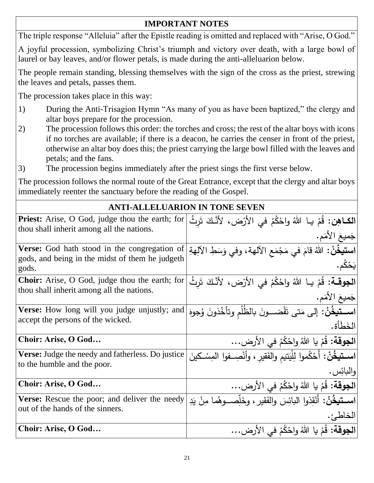# **IMPORTANT NOTES**

The triple response "Alleluia" after the Epistle reading is omitted and replaced with "Arise, O God."

A joyful procession, symbolizing Christ's triumph and victory over death, with a large bowl of laurel or bay leaves, and/or flower petals, is made during the anti-alleluarion below.

The people remain standing, blessing themselves with the sign of the cross as the priest, strewing the leaves and petals, passes them.

The procession takes place in this way:

- 1) During the Anti-Trisagion Hymn "As many of you as have been baptized," the clergy and altar boys prepare for the procession.
- 2) The procession follows this order: the torches and cross; the rest of the altar boys with icons if no torches are available; if there is a deacon, he carries the censer in front of the priest, otherwise an altar boy does this; the priest carrying the large bowl filled with the leaves and petals; and the fans.
- 3) The procession begins immediately after the priest sings the first verse below.

The procession follows the normal route of the Great Entrance, except that the clergy and altar boys immediately reenter the sanctuary before the reading of the Gospel.

# **ANTI-ALLELUARION IN TONE SEVEN**

| الكاهِن: قُمْ يـا اللهُ واحْكُمْ في الأرْض، لأَنَّكَ تَرِثُ                  |
|------------------------------------------------------------------------------|
| جَميعَ الأُمَم.                                                              |
| ت <b>يخُنْ:</b> اللهُ قامَ في مَجْمَعِ الآلهة، وفي وَسَطِ الآلِهةِ           |
|                                                                              |
| <b>الجوقــة:</b> قُمْ يـا اللهُ واحْكُمْ في الأرْض، لأَنَّـكَ تَرِثُ         |
| جَميعَ الأُمَم.                                                              |
| <b>اســـتيخُنْ:</b> إلى مَتى تَقْضـــونَ بالظُّلْمِ وتأخُذونَ وُجوهَ         |
| الخَطَأة.                                                                    |
| الجوقة: قُمْ يا اللهُ واحْكُمْ في الأرض                                      |
| اســـتيخُنْ: أَحْكُموا لِلْيَتيمِ والفَقيرِ ، وأنْصِــفوا                    |
| والبائس .                                                                    |
| <mark>الجوقة</mark> : قُمْ يا اللهُ واحْكُمْ في الأرض                        |
| ا <b>ســتيخُنْ:</b> أَنْقِذوا النبائِسَ والفَقيرِ ، وخَلِصـــوهُما مِنْ يَدِ |
|                                                                              |
| قُمْ يا اللهُ واحْكُمْ في الأرض                                              |
| Verse: Judge the needy and fatherless. Do justice                            |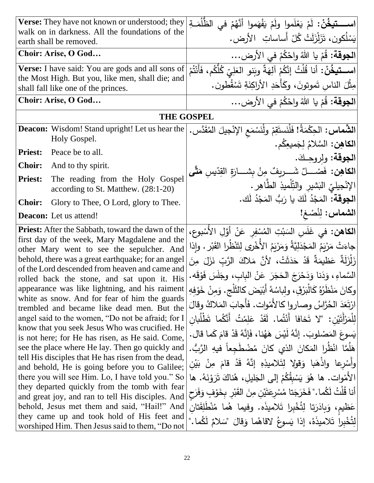| <b>Verse:</b> They have not known or understood; they<br>walk on in darkness. All the foundations of the | اســــــتيخُنْ: لَمْ يَعْلَموا ولَمْ يَفْهَموا أَنَّهُمْ في الظُّلْمَــةِ         |
|----------------------------------------------------------------------------------------------------------|-----------------------------------------------------------------------------------|
| earth shall be removed.                                                                                  | يَسْلُكون، تَزَلْزَلَتْ كُلّ أَساساتٍ الأرض.                                      |
| Choir: Arise, O God                                                                                      | ا <b>لجوقة</b> : قُمْ يا اللهُ واِحْكُمْ في الأرض                                 |
| <b>Verse:</b> I have said: You are gods and all sons of                                                  | اســــتيخُنْ: أنا قُلْتُ إنَّكُمْ آلِهَةٌ وبَنو العَلِيّ كُلُّكُم، فَأَنْتُمْ     |
| the Most High. But you, like men, shall die; and                                                         | مِثْلَ الناسِ تَموتونَ، وكَأَحَدِ الأراكِنَةِ تَسْقُطون.                          |
| shall fall like one of the princes.<br>Choir: Arise, O God                                               |                                                                                   |
|                                                                                                          | ا <b>لجوقة</b> : قُمْ يا اللهُ واحْكُمْ في الأرض                                  |
|                                                                                                          | <b>THE GOSPEL</b>                                                                 |
| <b>Deacon:</b> Wisdom! Stand upright! Let us hear the<br>Holy Gospel.                                    | ا <b>لشَّماس:</b> الحِكْمَةُ! فَلْنَستَقِمْ ولْنَسْمَعِ الإِنْجِيلَ المُقَدَّس.   |
| <b>Priest:</b><br>Peace be to all.                                                                       | الكاهِن: السَّلامُ لِجَميعِكُم.                                                   |
| <b>Choir:</b><br>And to thy spirit.                                                                      | ا <b>لجوقة:</b> ولروحِكَ.                                                         |
| <b>Priest:</b><br>The reading from the Holy Gospel                                                       | ا <b>لكاهِن:</b> فَصْــــلٌ شَــــرِيفٌ مِنْ بِشــــارَةِ القِدّيسِ <b>مَتَّى</b> |
| according to St. Matthew. (28:1-20)                                                                      | الإِنْجِيلِيِّ البَشيرِ والتِّلْمِيذِ الطَّاهِرِ .                                |
| <b>Choir:</b><br>Glory to Thee, O Lord, glory to Thee.                                                   | ا <b>لجوقة</b> : المَجْدُ لَكَ يا رَبُّ المَجْدُ لَك.                             |
| Deacon: Let us attend!                                                                                   | الشماس: لِنُصْغ!                                                                  |
| <b>Priest:</b> After the Sabbath, toward the dawn of the                                                 | ا <b>لكاهن:</b> في غَلَس السَبْتِ المُسْفِرِ عَنْ أَوَّلِ الأَسْبوعِ،             |
| first day of the week, Mary Magdalene and the                                                            | جاءَتْ مَرْبَمُ المَجْدَلِيَّةُ وَمَرْبَمُ الأَخْرِي لِتَنْظُرِا القَبْرِ . وإِذا |
| other Mary went to see the sepulcher. And                                                                |                                                                                   |
| behold, there was a great earthquake; for an angel<br>of the Lord descended from heaven and came and     | زَلْزَلَةٌ عَظيمَةٌ قَدْ حَدَثَتْ، لأَنَّ مَلاكَ الرَّبِّ نَزَلَ مِنَ             |
| rolled back the stone, and sat upon it. His                                                              | السَّماءِ ، وَدَنا وَدَحْرَجَ الحَجَرَ عَنْ البابِ، وجَلَسَ فَوْقَه.              |
| appearance was like lightning, and his raiment                                                           | وكانَ مَنْظَرُهُ كَالْبَرْقِ، ولِباسُهُ أَبْيَضَ كالثَّلْجِ. وَمِنْ خَوْفِهِ      |
| white as snow. And for fear of him the guards<br>trembled and became like dead men. But the              | ارْتَعَدَ الحُرَّاسُ وصاروا كالأَمْوات. فَأَجابَ المَلاكُ وقالَ                   |
| angel said to the women, "Do not be afraid; for I                                                        | لِلْمَرْأَتَيْنِ: "لا تَخافا أَنْتُما. لَقَدْ عَلِمْتُ أَنَّكُما تَطْلُبانِ       |
| know that you seek Jesus Who was crucified. He                                                           |                                                                                   |
| is not here; for He has risen, as He said. Come,                                                         | يَسوعَ المَصْلوبَ. إِنَّهُ لَيْسَ هَهُنا، فَإِنَّهُ قَدْ قامَ كَما قال.           |
| see the place where He lay. Then go quickly and<br>tell His disciples that He has risen from the dead,   | هَلُمَّا انْظُرا المَكانَ الذي كانَ مُضْطَجِعاً فيهِ الرَّبُّ.                    |
| and behold, He is going before you to Galilee;                                                           | وأَسْرِعا واذْهَبا وَقولا لِتَلاميذِهِ إِنَّهُ قَدْ قامَ مِنْ بَيْن               |
| there you will see Him. Lo, I have told you." So                                                         | الأَمْوات. ها هُوَ يَسْبِقُكُمْ إِلَى الْجَلِيلِ، هُناكَ تَرَوْنَهُ. ها           |
| they departed quickly from the tomb with fear                                                            | أنا قُلْتُ لَكُما." فَخَرَجَتا مُسْرِعَتَيْنِ مِنَ القَبْرِ بِخَوْفٍ وَفَرَح      |
| and great joy, and ran to tell His disciples. And                                                        |                                                                                   |
| behold, Jesus met them and said, "Hail!" And<br>they came up and took hold of His feet and               | عَظيم، وَبِادَرَتِا لِتُخْبِرا تَلاميذَه. وفيما هُما مُنْطَلِقَتانِ               |
| worshiped Him. Then Jesus said to them, "Do not                                                          | لِتُخْبِرِا تَلاميذَهُ، إذا يَسوعُ لاقاهُما وَقالَ "سَلامٌ لَكُما."               |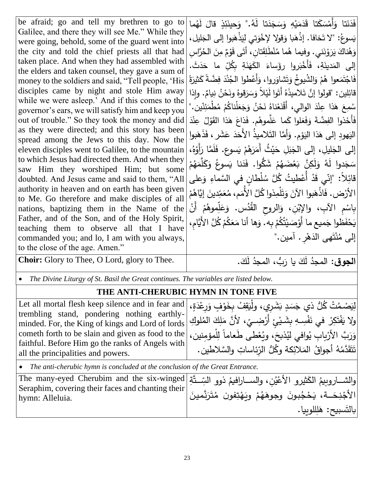be afraid; go and tell my brethren to go to Galilee, and there they will see Me." While they were going, behold, some of the guard went into the city and told the chief priests all that had taken place. And when they had assembled with the elders and taken counsel, they gave a sum of money to the soldiers and said, "Tell people, 'His disciples came by night and stole Him away while we were asleep.' And if this comes to the governor's ears, we will satisfy him and keep you out of trouble." So they took the money and did as they were directed; and this story has been spread among the Jews to this day. Now the eleven disciples went to Galilee, to the mountain to which Jesus had directed them. And when they saw Him they worshiped Him; but some doubted. And Jesus came and said to them, "All authority in heaven and on earth has been given to Me. Go therefore and make disciples of all nations, baptizing them in the Name of the Father, and of the Son, and of the Holy Spirit, teaching them to observe all that I have commanded you; and lo, I am with you always, to the close of the age. Amen."

فَدَنَتا وَأَمْسَكَتا قَدَمَيْهِ وَسَجَدَتا لَهُ." وَحينَئِذٍ قالَ لَهُما $\Bigg|$ ا<br>ا َ ֦֧<u>֦</u> َ ً<br>ب ء<br>ہ .<br>ا يَسوعُ: "لا تَخافا. إِذْهَبا وَقولا لِإِخْوَتي لِيَذْهَبوا إلى الجَليل، | َ َ َبا<br>ا ا<br>ا **ٔ** َ وَهُناكَ يَرَوْنَني. وفيما هُما مُنْطَلِقَتانِ، أتَى قَوْمٌ مِنَ الْحُرَّاسِ .<br>با .<br>م ْ .<br>م <u>َ</u> <u>ہ</u>  $\frac{1}{\sqrt{2}}$ ً<br>ً إِلى المَدينَةِ، فَأَخْبَروا رؤَساءَ الكَهَنَةِ بِكُلِّ ما حَدَثَ.<br>ِ َ َ **ء**<br>ا َ َ فَاجْتَمَعوا هُمْ وَالشُّيوخُ وَتَشاوَروا، وَأَعْطوا الْجُنْدَ فِضَّةً كَثيرَةً **:** <u>َ</u> ً<br>ً ْ َ َ َ َ ْ .<br>ا قائِلين: "قولوا إنَّ تَلاميذَهُ أَتَوا لَيْلاً وَسَرَقوهُ ونَحْنُ نِيامٌ. وإِذا |<br>. <u>ً</u>  $\frac{1}{2}$  $\frac{1}{2}$ <u>ٔ</u> ءِ<br>ُ َ ْ سُمِعَ هَذا عِنْدَ الوالي، أَقْنَعْناهُ نَحْنُ وَجَعَلْناكُمْ مُطْمَئِنّين."|<br>ءَ <u>ا</u> .<br>ا َ ْ ا<br>ا ْ ءِ<br>ِ َ ْ َ َ فَأَخَذوا الفِضَّةَ وَفَعَلوا كَما عَلَّموهُم. فَذاعَ هَذا القَوْلُ عِنْدَ َ َ َ َ َ َ ا<br>ا ؛<br>' .<br>ا  $\ddot{ }$ اليَهودِ إلى هَذا النَوْم. وَأَمَّا التَّلاميذُ الأَحَدَ عَشَرٍ ، فَذَهَبوا |<br>. ا<br>أ .<br>با ؛<br>' َ نی<br>ن إلى الجَليلِ، إِلى الجَبَلِ حَيْثُ أَمَرَهُمْ يَسوع. فَلَمَّا رَأَوْهُ،| َ  $\ddot{ }$ َ ً<br>ً َ ْ .<br>ا <u>ہ</u> ُر<br>ة ْ َ َس جدوا ه َ كَّن ِ وَل ب ع َض ه َش م َف ك َ وا. د نا ي سوع وَك م َّ ل ه م  $\overline{a}$ ٔ. ْ ْ .<br>ا َ ا<br>ا ْ ِ َ قائالً ّي ق إن د ت أ ع ك طي ء َّل سْل في ال َّس ِ َ طا ٍن ما وعلى .<br>-<br>-**ٔ** .<br>أ الأرْض. فَاذْهَبوا الآنَ وَتَلْمِذوا كُلَّ الأُمَم، مُعَمِّ َ ا<br>ا َ مِّدينَ إِيَّاهُمْ|<br>-<u>َ</u>ـٰ ْ بِاسْمِ الآبِ، والإِبْنِ، وَالروحِ القُدُسِ. وَعَلِّموهُمْ أَنْ $\mid$ ـا<br>. ِ<br>ا ء<br>، ءِ<br>ُ َ ْ .<br>-يَحْفَظُوا جَميع ما أَوْصَيْتُكُمْ بِه. وَها أَنا مَعَكُمْ كُلَّ الأَيَّامِ، |<br>-<u>ٔ</u> ً<br>. َ ا<br>ا َ ْ إلى مُنْتَهِى الدَهْرِ . آمين." <u>َ</u>  $\ddot{ }$ <u>أ</u>

**Choir:** Glory to Thee, O Lord, glory to Thee.

• *The Divine Liturgy of St. Basil the Great continues. The variables are listed below.*

# **THE ANTI-CHERUBIC HYMN IN TONE FIVE**

Let all mortal flesh keep silence and in fear and trembling stand, pondering nothing earthlyminded. For, the King of kings and Lord of lords cometh forth to be slain and given as food to the faithful. Before Him go the ranks of Angels with all the principalities and powers.

لِيَصْمُتْ كُلُّ ذي جَسَدٍ بَشَرِي، ولْيَقِفْ بِخَوْفٍ وَرِعْدَةٍ،<br>وي ا<br>ا ֺ֧<sup>ֺ</sup> ً<br>ب َ ْ َ **ٔ** ولا يَفْتَكِرْ في نَفْسِـهِ بِشَـيْئٍ أَرْضِــيّ، لأَنَّ مَلِكَ المُلوكِ |<br>-.<br>. **ٔ** َ **ٔ** ֧<u>֓</u> ۔<br>۔ وَرَبَّ الأَرْبابِ يُوافي لَيُذبحَ، ويُعْطى طَعاماً لِلْمؤمِنين،|<br>.... ້ ْ َ ت َ ت َ قَّد م ه أجواق الم ِ ّ الئكة و ك ل ِ ِت الر ئاسا وال َّسالطين.  $\overline{a}$ 

َ

ا**لجوق:** المجدُ لَكَ يا رَبُّ، المجدُ لَكَ. .<br>ـ

َ

• *The anti-cherubic hymn is concluded at the conclusion of the Great Entrance.*

| والشـــاروبيمُ الكَثيرو الأعْيُنِ، والســـارافيمُ ذوو السِّــدَّةِ  The many-eyed Cherubim and the six-winged |                                                                                                                                            |
|---------------------------------------------------------------------------------------------------------------|--------------------------------------------------------------------------------------------------------------------------------------------|
|                                                                                                               | ite many-cycle check.<br>'الأجْنِحَــة، يَحْجُبونَ وجوَهَهُمْ ويَهْتِفون مُتَرَنَّمينَ   Seraphim, covering their faces and chanting their |
|                                                                                                               |                                                                                                                                            |
|                                                                                                               | بالتَسبيح: هَلِللوبيا.                                                                                                                     |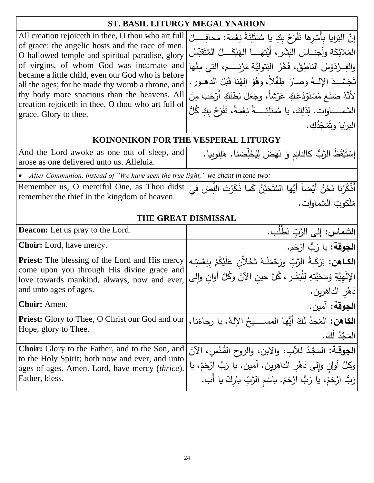# **ST. BASIL LITURGY MEGALYNARION**

| All creation rejoiceth in thee, O thou who art full<br>of grace: the angelic hosts and the race of men.<br>O hallowed temple and spiritual paradise, glory<br>of virgins, of whom God was incarnate and<br>became a little child, even our God who is before<br>all the ages; for he made thy womb a throne, and<br>thy body more spacious than the heavens. All<br>creation rejoiceth in thee, O thou who art full of<br>grace. Glory to thee. | [إنَّ البَرايا بِأَسْرِها تَفْرَحُ بِكِ يا مُمْتَلِئَةً نِعْمَة: مَحافِــــلَ<br>المَلائِكَةِ وأُجنــاسَ النِّشَرِ ، أَيَّتهــــا الـهَيْكَــــلُ المُتَقَدِّسُ<br>والفِرْدَوْسُ الناطِقُ، فَخْرُ البَتولِيَّةِ مَرْيَــــم، التي مِنْها<br>تَجَسَّــدَ الإِلـــهُ وصارَ طِفْلاً، وهُوَ إِلـهُنا قَبْلَ الدهــورِ .<br>[لأَنَّهُ صَنَعَ مُسْتَوْدَعَكِ عَرْشاً، وجَعَلَ بَطْنَكِ أَرْحَبَ مِنَ<br>السَّمــــــاوات. لِذَلِكَ، يا مُمْتَلِئـــــةً نِعْمَةً، تَفْرَحُ بِكِ كُلُّ<br>البَرايا وتُمَجّدُكِ. |  |
|-------------------------------------------------------------------------------------------------------------------------------------------------------------------------------------------------------------------------------------------------------------------------------------------------------------------------------------------------------------------------------------------------------------------------------------------------|----------------------------------------------------------------------------------------------------------------------------------------------------------------------------------------------------------------------------------------------------------------------------------------------------------------------------------------------------------------------------------------------------------------------------------------------------------------------------------------------------------|--|
|                                                                                                                                                                                                                                                                                                                                                                                                                                                 | KOINONIKON FOR THE VESPERAL LITURGY                                                                                                                                                                                                                                                                                                                                                                                                                                                                      |  |
| And the Lord awoke as one out of sleep, and<br>arose as one delivered unto us. Alleluia.                                                                                                                                                                                                                                                                                                                                                        | إِسْتَيْقَظَ الرَّبُّ كالنائِم وَ نَهَضَ لِيُخَلِّصَنا. هَلِلوبِيا.                                                                                                                                                                                                                                                                                                                                                                                                                                      |  |
| • After Communion, instead of "We have seen the true light," we chant in tone two:                                                                                                                                                                                                                                                                                                                                                              |                                                                                                                                                                                                                                                                                                                                                                                                                                                                                                          |  |
| Remember us, O merciful One, as Thou didst<br>remember the thief in the kingdom of heaven.                                                                                                                                                                                                                                                                                                                                                      | أَذْكُرْنا نَحْنُ أَيْضاً أَيُّها المُتَحَذِّنُ كَما ذَكَرْتَ اللِّصَ في<br>مَلَكوت السَّماوات.                                                                                                                                                                                                                                                                                                                                                                                                          |  |
| THE GREAT DISMISSAL                                                                                                                                                                                                                                                                                                                                                                                                                             |                                                                                                                                                                                                                                                                                                                                                                                                                                                                                                          |  |
| <b>Deacon:</b> Let us pray to the Lord.                                                                                                                                                                                                                                                                                                                                                                                                         | ا <b>لشماس:</b> إلى الرَّبِّ نَطْلُب.                                                                                                                                                                                                                                                                                                                                                                                                                                                                    |  |
| <b>Choir:</b> Lord, have mercy.                                                                                                                                                                                                                                                                                                                                                                                                                 | ا <b>لجوقة:</b> يا رَبُّ ارْحَم.                                                                                                                                                                                                                                                                                                                                                                                                                                                                         |  |
| <b>Priest:</b> The blessing of the Lord and His mercy<br>come upon you through His divine grace and<br>love towards mankind, always, now and ever,<br>and unto ages of ages.                                                                                                                                                                                                                                                                    | ا <b>لكـاهن:</b> بَرَكَـةُ الرَّبِّ ورَحْمَتُـهُ تَحُلاَّنِ عَلَيْكُمْ بِنِعْمَتِـهِ<br>الإِلَهِيَّةِ وَمَحَبَّتِهِ لِلْبَشَرِ ، كُلَّ حينِ الآنَ وكُلَّ أُوانِ وإِلَى<br> دَهْر الداهرين.                                                                                                                                                                                                                                                                                                               |  |
| <b>Choir:</b> Amen.                                                                                                                                                                                                                                                                                                                                                                                                                             | الجوقة: آمين.                                                                                                                                                                                                                                                                                                                                                                                                                                                                                            |  |
| <b>Priest:</b> Glory to Thee, O Christ our God and our<br>Hope, glory to Thee.                                                                                                                                                                                                                                                                                                                                                                  | الكاهن: المَجْدُ لَكَ أَيُّها المســــيحُ الإِلهُ، يا رجاءَنا،<br> المَجْدُ لَكَ.                                                                                                                                                                                                                                                                                                                                                                                                                        |  |
| Choir: Glory to the Father, and to the Son, and<br>to the Holy Spirit; both now and ever, and unto<br>ages of ages. Amen. Lord, have mercy (thrice).<br>Father, bless.                                                                                                                                                                                                                                                                          | الجوقـة: المَجْدُ للأبِ، والابنِ، والروحِ القُدُسِ، الأنَ<br>وكلَّ أُوانِ وإلى دَهْرِ الداهرينَ. آمين. يا رَبُّ ارْحَمْ، يا<br> رَبُّ ارْحَمْ، يا رَبُّ ارْحَمْ. باسْم الرَّبِّ بارِكْ يا أب.                                                                                                                                                                                                                                                                                                            |  |